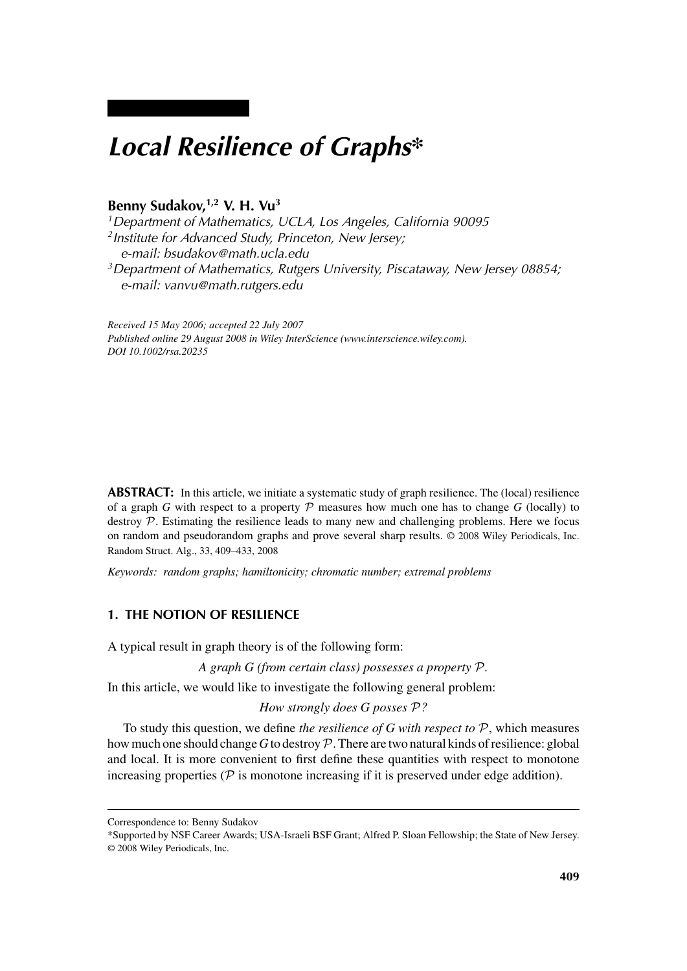# *Local Resilience of Graphs\**

# **Benny Sudakov,1,2 V. H. Vu3**

*1Department of Mathematics, UCLA, Los Angeles, California 90095 2Institute for Advanced Study, Princeton, New Jersey; e-mail: bsudakov@math.ucla.edu 3Department of Mathematics, Rutgers University, Piscataway, New Jersey 08854; e-mail: vanvu@math.rutgers.edu*

*Received 15 May 2006; accepted 22 July 2007 Published online 29 August 2008 in Wiley InterScience (www.interscience.wiley.com). DOI 10.1002/rsa.20235*

**ABSTRACT:** In this article, we initiate a systematic study of graph resilience. The (local) resilience of a graph *G* with respect to a property  $P$  measures how much one has to change *G* (locally) to destroy  $P$ . Estimating the resilience leads to many new and challenging problems. Here we focus on random and pseudorandom graphs and prove several sharp results. © 2008 Wiley Periodicals, Inc. Random Struct. Alg., 33, 409–433, 2008

*Keywords: random graphs; hamiltonicity; chromatic number; extremal problems*

# **1. THE NOTION OF RESILIENCE**

A typical result in graph theory is of the following form:

*A graph G (from certain class) possesses a property* P*.*

In this article, we would like to investigate the following general problem:

*How strongly does G posses* P*?*

To study this question, we define *the resilience of G with respect to* P, which measures how much one should change G to destroy  $P$ . There are two natural kinds of resilience: global and local. It is more convenient to first define these quantities with respect to monotone increasing properties  $(P$  is monotone increasing if it is preserved under edge addition).

Correspondence to: Benny Sudakov

<sup>\*</sup>Supported by NSF Career Awards; USA-Israeli BSF Grant; Alfred P. Sloan Fellowship; the State of New Jersey. © 2008 Wiley Periodicals, Inc.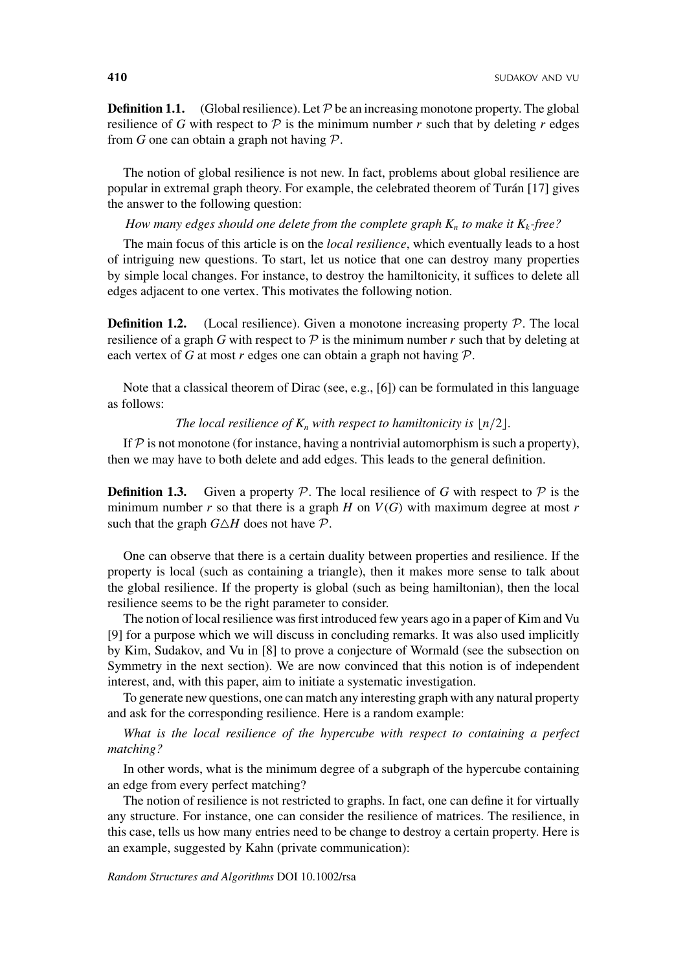**Definition 1.1.** (Global resilience). Let  $P$  be an increasing monotone property. The global resilience of G with respect to  $\mathcal P$  is the minimum number  $r$  such that by deleting  $r$  edges from *G* one can obtain a graph not having P.

The notion of global resilience is not new. In fact, problems about global resilience are popular in extremal graph theory. For example, the celebrated theorem of Turán [17] gives the answer to the following question:

*How many edges should one delete from the complete graph*  $K_n$  *to make it*  $K_k$ *-free?* 

The main focus of this article is on the *local resilience*, which eventually leads to a host of intriguing new questions. To start, let us notice that one can destroy many properties by simple local changes. For instance, to destroy the hamiltonicity, it suffices to delete all edges adjacent to one vertex. This motivates the following notion.

**Definition 1.2.** (Local resilience). Given a monotone increasing property  $P$ . The local resilience of a graph *G* with respect to  $\mathcal P$  is the minimum number *r* such that by deleting at each vertex of *G* at most *r* edges one can obtain a graph not having  $P$ .

Note that a classical theorem of Dirac (see, e.g., [6]) can be formulated in this language as follows:

*The local resilience of*  $K_n$  *with respect to hamiltonicity is*  $\lfloor n/2 \rfloor$ *.* 

If  $P$  is not monotone (for instance, having a nontrivial automorphism is such a property), then we may have to both delete and add edges. This leads to the general definition.

**Definition 1.3.** Given a property P. The local resilience of G with respect to P is the minimum number *r* so that there is a graph *H* on  $V(G)$  with maximum degree at most *r* such that the graph  $G \triangle H$  does not have  $P$ .

One can observe that there is a certain duality between properties and resilience. If the property is local (such as containing a triangle), then it makes more sense to talk about the global resilience. If the property is global (such as being hamiltonian), then the local resilience seems to be the right parameter to consider.

The notion of local resilience was first introduced few years ago in a paper of Kim and Vu [9] for a purpose which we will discuss in concluding remarks. It was also used implicitly by Kim, Sudakov, and Vu in [8] to prove a conjecture of Wormald (see the subsection on Symmetry in the next section). We are now convinced that this notion is of independent interest, and, with this paper, aim to initiate a systematic investigation.

To generate new questions, one can match any interesting graph with any natural property and ask for the corresponding resilience. Here is a random example:

*What is the local resilience of the hypercube with respect to containing a perfect matching?*

In other words, what is the minimum degree of a subgraph of the hypercube containing an edge from every perfect matching?

The notion of resilience is not restricted to graphs. In fact, one can define it for virtually any structure. For instance, one can consider the resilience of matrices. The resilience, in this case, tells us how many entries need to be change to destroy a certain property. Here is an example, suggested by Kahn (private communication):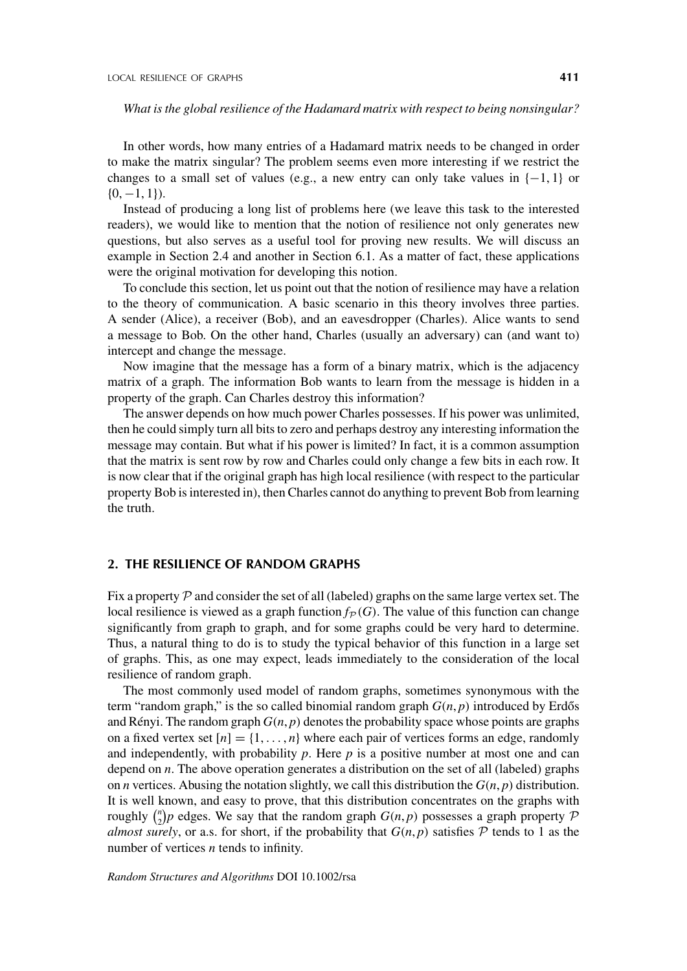In other words, how many entries of a Hadamard matrix needs to be changed in order to make the matrix singular? The problem seems even more interesting if we restrict the changes to a small set of values (e.g., a new entry can only take values in  $\{-1, 1\}$ ) or  $\{0, -1, 1\}$ .

Instead of producing a long list of problems here (we leave this task to the interested readers), we would like to mention that the notion of resilience not only generates new questions, but also serves as a useful tool for proving new results. We will discuss an example in Section 2.4 and another in Section 6.1. As a matter of fact, these applications were the original motivation for developing this notion.

To conclude this section, let us point out that the notion of resilience may have a relation to the theory of communication. A basic scenario in this theory involves three parties. A sender (Alice), a receiver (Bob), and an eavesdropper (Charles). Alice wants to send a message to Bob. On the other hand, Charles (usually an adversary) can (and want to) intercept and change the message.

Now imagine that the message has a form of a binary matrix, which is the adjacency matrix of a graph. The information Bob wants to learn from the message is hidden in a property of the graph. Can Charles destroy this information?

The answer depends on how much power Charles possesses. If his power was unlimited, then he could simply turn all bits to zero and perhaps destroy any interesting information the message may contain. But what if his power is limited? In fact, it is a common assumption that the matrix is sent row by row and Charles could only change a few bits in each row. It is now clear that if the original graph has high local resilience (with respect to the particular property Bob is interested in), then Charles cannot do anything to prevent Bob from learning the truth.

# **2. THE RESILIENCE OF RANDOM GRAPHS**

Fix a property  $P$  and consider the set of all (labeled) graphs on the same large vertex set. The local resilience is viewed as a graph function  $f_P(G)$ . The value of this function can change significantly from graph to graph, and for some graphs could be very hard to determine. Thus, a natural thing to do is to study the typical behavior of this function in a large set of graphs. This, as one may expect, leads immediately to the consideration of the local resilience of random graph.

The most commonly used model of random graphs, sometimes synonymous with the term "random graph," is the so called binomial random graph  $G(n, p)$  introduced by Erdős and Rényi. The random graph  $G(n, p)$  denotes the probability space whose points are graphs on a fixed vertex set  $[n]=\{1, \ldots, n\}$  where each pair of vertices forms an edge, randomly and independently, with probability  $p$ . Here  $p$  is a positive number at most one and can depend on *n*. The above operation generates a distribution on the set of all (labeled) graphs on *n* vertices. Abusing the notation slightly, we call this distribution the  $G(n, p)$  distribution. It is well known, and easy to prove, that this distribution concentrates on the graphs with roughly  $\binom{n}{2}$  edges. We say that the random graph *G*(*n*, *p*) possesses a graph property P *almost surely*, or a.s. for short, if the probability that  $G(n, p)$  satisfies P tends to 1 as the number of vertices *n* tends to infinity.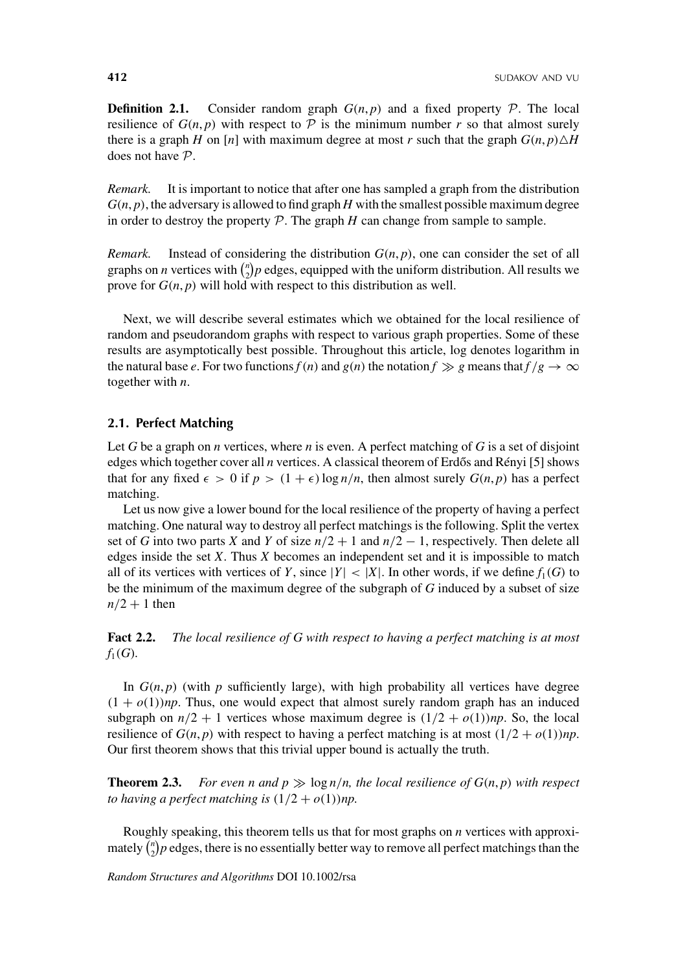**Definition 2.1.** Consider random graph  $G(n, p)$  and a fixed property  $P$ . The local resilience of  $G(n, p)$  with respect to  $P$  is the minimum number r so that almost surely there is a graph *H* on [*n*] with maximum degree at most *r* such that the graph  $G(n, p) \triangle H$ does not have P.

*Remark.* It is important to notice that after one has sampled a graph from the distribution  $G(n, p)$ , the adversary is allowed to find graph  $H$  with the smallest possible maximum degree in order to destroy the property  $P$ . The graph  $H$  can change from sample to sample.

*Remark.* Instead of considering the distribution  $G(n, p)$ , one can consider the set of all graphs on *n* vertices with  $\binom{n}{2}p$  edges, equipped with the uniform distribution. All results we prove for  $G(n, p)$  will hold with respect to this distribution as well.

Next, we will describe several estimates which we obtained for the local resilience of random and pseudorandom graphs with respect to various graph properties. Some of these results are asymptotically best possible. Throughout this article, log denotes logarithm in the natural base *e*. For two functions  $f(n)$  and  $g(n)$  the notation  $f \gg g$  means that  $f/g \to \infty$ together with *n*.

# **2.1. Perfect Matching**

Let *G* be a graph on *n* vertices, where *n* is even. A perfect matching of *G* is a set of disjoint edges which together cover all *n* vertices. A classical theorem of Erdős and Rényi [5] shows that for any fixed  $\epsilon > 0$  if  $p > (1 + \epsilon) \log n/n$ , then almost surely  $G(n, p)$  has a perfect matching.

Let us now give a lower bound for the local resilience of the property of having a perfect matching. One natural way to destroy all perfect matchings is the following. Split the vertex set of *G* into two parts *X* and *Y* of size  $n/2 + 1$  and  $n/2 - 1$ , respectively. Then delete all edges inside the set *X*. Thus *X* becomes an independent set and it is impossible to match all of its vertices with vertices of *Y*, since  $|Y| < |X|$ . In other words, if we define  $f_1(G)$  to be the minimum of the maximum degree of the subgraph of *G* induced by a subset of size  $n/2 + 1$  then

**Fact 2.2.** *The local resilience of G with respect to having a perfect matching is at most*  $f_1(G)$ .

In  $G(n, p)$  (with  $p$  sufficiently large), with high probability all vertices have degree  $(1 + o(1))$ *np*. Thus, one would expect that almost surely random graph has an induced subgraph on  $n/2 + 1$  vertices whose maximum degree is  $(1/2 + o(1))np$ . So, the local resilience of  $G(n, p)$  with respect to having a perfect matching is at most  $(1/2 + o(1))np$ . Our first theorem shows that this trivial upper bound is actually the truth.

**Theorem 2.3.** For even n and  $p \gg \log n/n$ , the local resilience of  $G(n, p)$  with respect *to having a perfect matching is*  $(1/2 + o(1))$ *np.* 

Roughly speaking, this theorem tells us that for most graphs on *n* vertices with approximately  $\binom{n}{2}$  edges, there is no essentially better way to remove all perfect matchings than the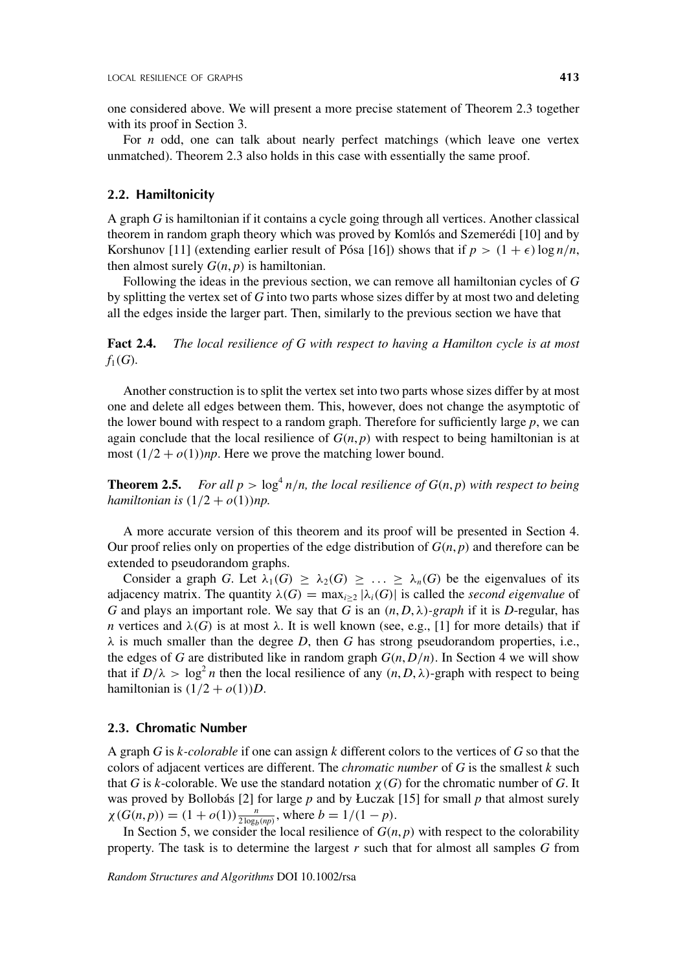one considered above. We will present a more precise statement of Theorem 2.3 together with its proof in Section 3.

For *n* odd, one can talk about nearly perfect matchings (which leave one vertex unmatched). Theorem 2.3 also holds in this case with essentially the same proof.

# **2.2. Hamiltonicity**

A graph *G* is hamiltonian if it contains a cycle going through all vertices. Another classical theorem in random graph theory which was proved by Komlós and Szemerédi [10] and by Korshunov [11] (extending earlier result of Pósa [16]) shows that if  $p > (1 + \epsilon) \log n/n$ , then almost surely  $G(n, p)$  is hamiltonian.

Following the ideas in the previous section, we can remove all hamiltonian cycles of *G* by splitting the vertex set of *G* into two parts whose sizes differ by at most two and deleting all the edges inside the larger part. Then, similarly to the previous section we have that

**Fact 2.4.** *The local resilience of G with respect to having a Hamilton cycle is at most*  $f_1(G)$ .

Another construction is to split the vertex set into two parts whose sizes differ by at most one and delete all edges between them. This, however, does not change the asymptotic of the lower bound with respect to a random graph. Therefore for sufficiently large  $p$ , we can again conclude that the local resilience of  $G(n, p)$  with respect to being hamiltonian is at most  $(1/2 + o(1))$ *np*. Here we prove the matching lower bound.

**Theorem 2.5.** *For all p* >  $\log^4 n/n$ *, the local resilience of G(n, p) with respect to being hamiltonian is*  $(1/2 + o(1))$ *np.* 

A more accurate version of this theorem and its proof will be presented in Section 4. Our proof relies only on properties of the edge distribution of  $G(n, p)$  and therefore can be extended to pseudorandom graphs.

Consider a graph *G*. Let  $\lambda_1(G) \geq \lambda_2(G) \geq \ldots \geq \lambda_n(G)$  be the eigenvalues of its adjacency matrix. The quantity  $\lambda(G) = \max_{i \geq 2} |\lambda_i(G)|$  is called the *second eigenvalue* of *G* and plays an important role. We say that *G* is an  $(n, D, \lambda)$ *-graph* if it is *D*-regular, has *n* vertices and  $\lambda(G)$  is at most  $\lambda$ . It is well known (see, e.g., [1] for more details) that if  $\lambda$  is much smaller than the degree *D*, then *G* has strong pseudorandom properties, i.e., the edges of *G* are distributed like in random graph  $G(n, D/n)$ . In Section 4 we will show that if  $D/\lambda > \log^2 n$  then the local resilience of any  $(n, D, \lambda)$ -graph with respect to being hamiltonian is  $(1/2 + o(1))D$ .

#### **2.3. Chromatic Number**

A graph *G* is *k-colorable* if one can assign *k* different colors to the vertices of *G* so that the colors of adjacent vertices are different. The *chromatic number* of *G* is the smallest *k* such that *G* is *k*-colorable. We use the standard notation  $\chi(G)$  for the chromatic number of *G*. It was proved by Bollobás [2] for large *p* and by Łuczak [15] for small *p* that almost surely  $\chi(G(n, p)) = (1 + o(1)) \frac{n}{2 \log_b(np)}, \text{ where } b = 1/(1 - p).$ 

In Section 5, we consider the local resilience of  $G(n, p)$  with respect to the colorability property. The task is to determine the largest *r* such that for almost all samples *G* from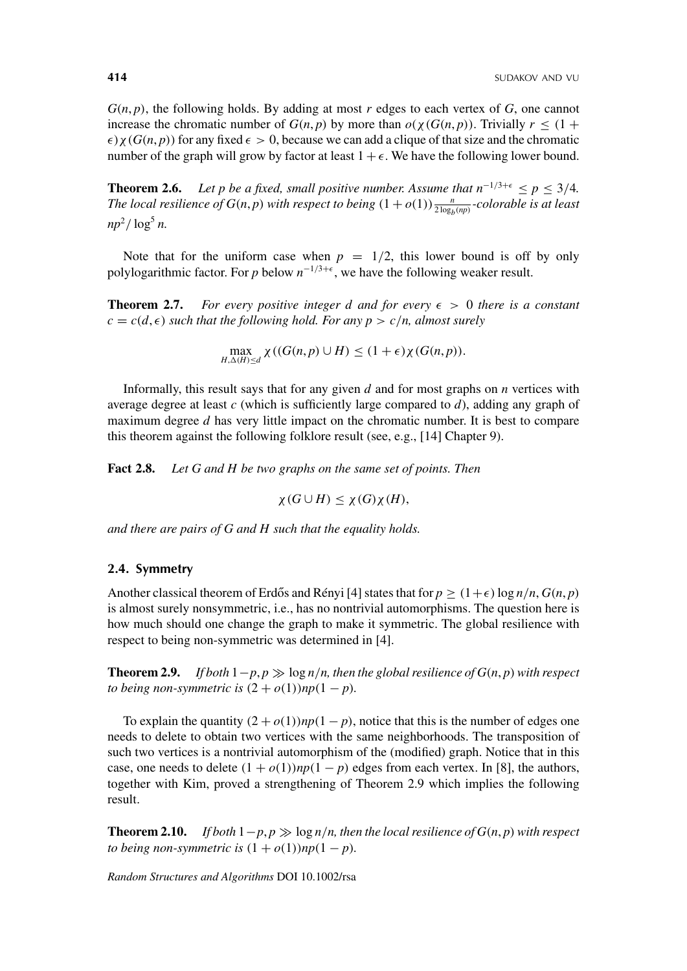*G*(*n*, *p*), the following holds. By adding at most *r* edges to each vertex of *G*, one cannot increase the chromatic number of  $G(n, p)$  by more than  $o(\chi(G(n, p))$ . Trivially  $r \leq (1 +$  $\epsilon$ )  $\chi$  (*G*(*n*, *p*)) for any fixed  $\epsilon$  > 0, because we can add a clique of that size and the chromatic number of the graph will grow by factor at least  $1 + \epsilon$ . We have the following lower bound.

**Theorem 2.6.** *Let p be a fixed, small positive number. Assume that*  $n^{-1/3+\epsilon} \le p \le 3/4$ *. The local resilience of*  $G(n, p)$  *with respect to being*  $(1 + o(1)) \frac{n}{2 \log_b(np)}$ -colorable is at least  $np^2/\log^5 n$ .

Note that for the uniform case when  $p = 1/2$ , this lower bound is off by only polylogarithmic factor. For *p* below  $n^{-1/3+\epsilon}$ , we have the following weaker result.

**Theorem 2.7.** For every positive integer d and for every  $\epsilon > 0$  there is a constant  $c = c(d, \epsilon)$  *such that the following hold. For any*  $p > c/n$ *, almost surely* 

$$
\max_{H,\Delta(H)\leq d}\chi((G(n,p)\cup H)\leq (1+\epsilon)\chi(G(n,p)).
$$

Informally, this result says that for any given *d* and for most graphs on *n* vertices with average degree at least *c* (which is sufficiently large compared to *d*), adding any graph of maximum degree *d* has very little impact on the chromatic number. It is best to compare this theorem against the following folklore result (see, e.g., [14] Chapter 9).

**Fact 2.8.** *Let G and H be two graphs on the same set of points. Then*

$$
\chi(G\cup H)\leq \chi(G)\chi(H),
$$

*and there are pairs of G and H such that the equality holds.*

## **2.4. Symmetry**

Another classical theorem of Erdős and Rényi [4] states that for  $p \ge (1+\epsilon) \log n/n$ ,  $G(n, p)$ is almost surely nonsymmetric, i.e., has no nontrivial automorphisms. The question here is how much should one change the graph to make it symmetric. The global resilience with respect to being non-symmetric was determined in [4].

**Theorem 2.9.** *If both*  $1-p$ ,  $p \gg \log n/n$ , then the global resilience of  $G(n, p)$  with respect *to being non-symmetric is*  $(2 + o(1))np(1 - p)$ *.* 

To explain the quantity  $(2 + o(1))np(1 - p)$ , notice that this is the number of edges one needs to delete to obtain two vertices with the same neighborhoods. The transposition of such two vertices is a nontrivial automorphism of the (modified) graph. Notice that in this case, one needs to delete  $(1 + o(1))np(1 - p)$  edges from each vertex. In [8], the authors, together with Kim, proved a strengthening of Theorem 2.9 which implies the following result.

**Theorem 2.10.** *If both*  $1-p$ ,  $p \gg \log n/n$ , then the local resilience of  $G(n, p)$  with respect *to being non-symmetric is*  $(1 + o(1))$ *np* $(1 - p)$ *.*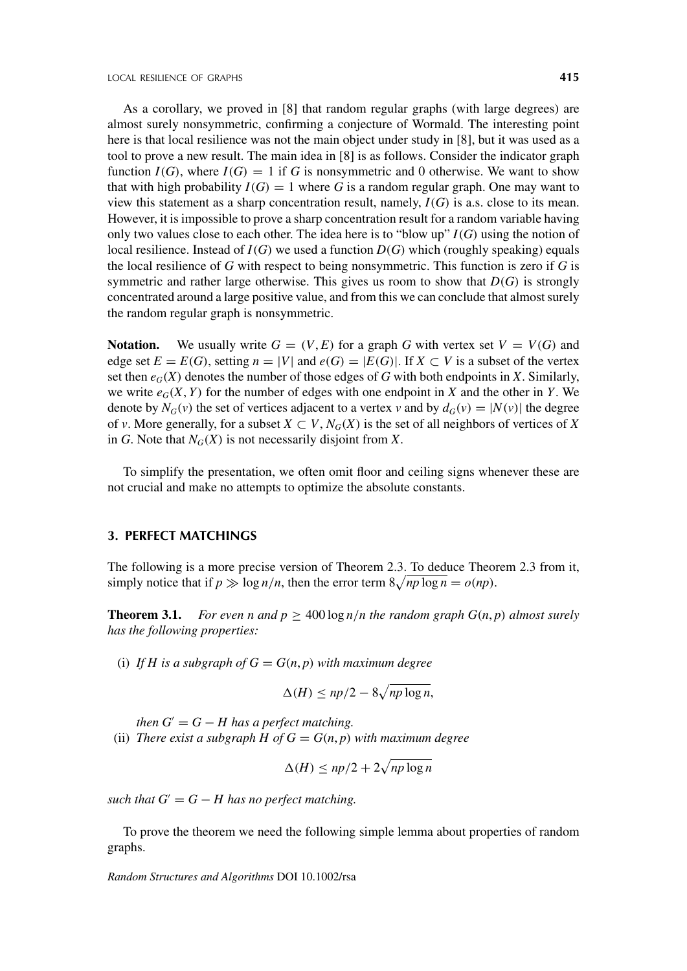As a corollary, we proved in [8] that random regular graphs (with large degrees) are almost surely nonsymmetric, confirming a conjecture of Wormald. The interesting point here is that local resilience was not the main object under study in [8], but it was used as a tool to prove a new result. The main idea in [8] is as follows. Consider the indicator graph function  $I(G)$ , where  $I(G) = 1$  if G is nonsymmetric and 0 otherwise. We want to show that with high probability  $I(G) = 1$  where G is a random regular graph. One may want to view this statement as a sharp concentration result, namely,  $I(G)$  is a.s. close to its mean. However, it is impossible to prove a sharp concentration result for a random variable having only two values close to each other. The idea here is to "blow up"  $I(G)$  using the notion of local resilience. Instead of  $I(G)$  we used a function  $D(G)$  which (roughly speaking) equals the local resilience of *G* with respect to being nonsymmetric. This function is zero if *G* is symmetric and rather large otherwise. This gives us room to show that  $D(G)$  is strongly concentrated around a large positive value, and from this we can conclude that almost surely the random regular graph is nonsymmetric.

**Notation.** We usually write  $G = (V, E)$  for a graph *G* with vertex set  $V = V(G)$  and edge set  $E = E(G)$ , setting  $n = |V|$  and  $e(G) = |E(G)|$ . If  $X \subset V$  is a subset of the vertex set then  $e_G(X)$  denotes the number of those edges of *G* with both endpoints in *X*. Similarly, we write  $e_G(X, Y)$  for the number of edges with one endpoint in *X* and the other in *Y*. We denote by  $N_G(v)$  the set of vertices adjacent to a vertex *v* and by  $d_G(v) = |N(v)|$  the degree of *v*. More generally, for a subset  $X \subset V$ ,  $N_G(X)$  is the set of all neighbors of vertices of X in *G*. Note that  $N_G(X)$  is not necessarily disjoint from *X*.

To simplify the presentation, we often omit floor and ceiling signs whenever these are not crucial and make no attempts to optimize the absolute constants.

# **3. PERFECT MATCHINGS**

The following is a more precise version of Theorem 2.3. To deduce Theorem 2.3 from it, simply notice that if  $p \gg \log n/n$ , then the error term  $8\sqrt{np \log n} = o(np)$ .

**Theorem 3.1.** *For even n and*  $p \geq 400 \log n/n$  *the random graph*  $G(n, p)$  *almost surely has the following properties:*

(i) If *H* is a subgraph of  $G = G(n, p)$  with maximum degree

$$
\Delta(H) \le np/2 - 8\sqrt{np\log n},
$$

*then*  $G' = G - H$  *has a perfect matching.* 

(ii) *There exist a subgraph H of*  $G = G(n, p)$  *with maximum degree* 

$$
\Delta(H) \le np/2 + 2\sqrt{np\log n}
$$

*such that*  $G' = G - H$  *has no perfect matching.* 

To prove the theorem we need the following simple lemma about properties of random graphs.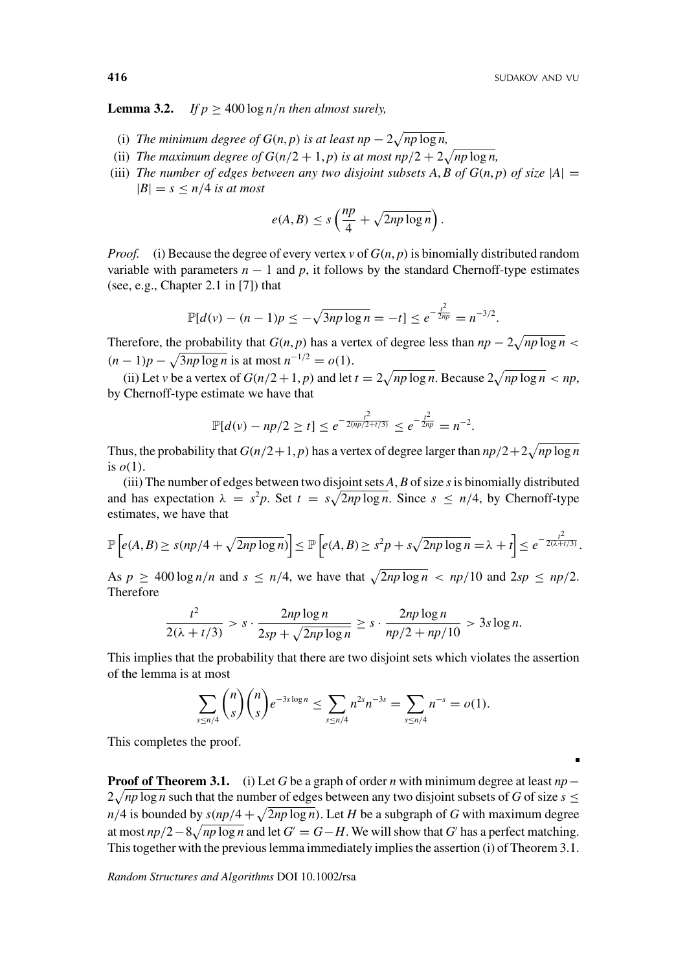$\blacksquare$ 

**Lemma 3.2.** *If*  $p \geq 400 \log n/n$  *then almost surely,* 

- (i) *The minimum degree of*  $G(n, p)$  *is at least np*  $-2\sqrt{np \log n}$ ,
- (ii) *The maximum degree of*  $G(n/2 + 1, p)$  *is at most np* $/2 + 2\sqrt{np \log n}$ ,
- (iii) *The number of edges between any two disjoint subsets A, B of*  $G(n, p)$  *of size*  $|A|$  =  $|B| = s \leq n/4$  *is at most*

$$
e(A,B) \leq s\left(\frac{np}{4} + \sqrt{2np\log n}\right).
$$

*Proof.* (i) Because the degree of every vertex  $v$  of  $G(n, p)$  is binomially distributed random variable with parameters  $n - 1$  and  $p$ , it follows by the standard Chernoff-type estimates (see, e.g., Chapter 2.1 in [7]) that

$$
\mathbb{P}[d(v)-(n-1)p \leq -\sqrt{3np \log n} = -t] \leq e^{-\frac{t^2}{2np}} = n^{-3/2}.
$$

Therefore, the probability that *G*(*n*, *p*) has a vertex of degree less than  $np - 2\sqrt{np \log n}$  <  $(n-1)p - \sqrt{3np \log n}$  is at most  $n^{-1/2} = o(1)$ .

(ii) Let *v* be a vertex of  $G(n/2+1, p)$  and let  $t = 2\sqrt{np \log n}$ . Because  $2\sqrt{np \log n} < np$ , by Chernoff-type estimate we have that

$$
\mathbb{P}[d(v) - np/2 \ge t] \le e^{-\frac{t^2}{2(np/2 + t/3)}} \le e^{-\frac{t^2}{2np}} = n^{-2}.
$$

Thus, the probability that  $G(n/2+1, p)$  has a vertex of degree larger than  $np/2+2\sqrt{np \log n}$ is  $o(1)$ .

(iii) The number of edges between two disjoint sets *A*, *B* of size *s*is binomially distributed and has expectation  $\lambda = s^2p$ . Set  $t = s\sqrt{2np \log n}$ . Since  $s \le n/4$ , by Chernoff-type estimates, we have that

$$
\mathbb{P}\left[e(A,B)\geq s(np/4+\sqrt{2np\log n})\right]\leq \mathbb{P}\left[e(A,B)\geq s^2p+s\sqrt{2np\log n}=\lambda+t\right]\leq e^{-\frac{t^2}{2(\lambda+t/3)}}.
$$

As  $p \ge 400 \log n/n$  and  $s \le n/4$ , we have that  $\sqrt{2np \log n} < np/10$  and  $2sp \le np/2$ . Therefore

$$
\frac{t^2}{2(\lambda + t/3)} > s \cdot \frac{2np\log n}{2sp + \sqrt{2np\log n}} \ge s \cdot \frac{2np\log n}{np/2 + np/10} > 3s\log n.
$$

This implies that the probability that there are two disjoint sets which violates the assertion of the lemma is at most

$$
\sum_{s \le n/4} {n \choose s} {n \choose s} e^{-3s \log n} \le \sum_{s \le n/4} n^{2s} n^{-3s} = \sum_{s \le n/4} n^{-s} = o(1).
$$

This completes the proof.

**Proof of Theorem 3.1.** (i) Let *G* be a graph of order *n* with minimum degree at least *np* −  $2\sqrt{np \log n}$  such that the number of edges between any two disjoint subsets of *G* of size  $s \leq$ *n*/4 is bounded by  $\frac{s(np/4 + \sqrt{2np \log n}}{2}$ . Let *H* be a subgraph of *G* with maximum degree at most  $np/2 - 8\sqrt{np \log n}$  and let  $G' = G - H$ . We will show that  $G'$  has a perfect matching. This together with the previous lemma immediately implies the assertion (i) of Theorem 3.1.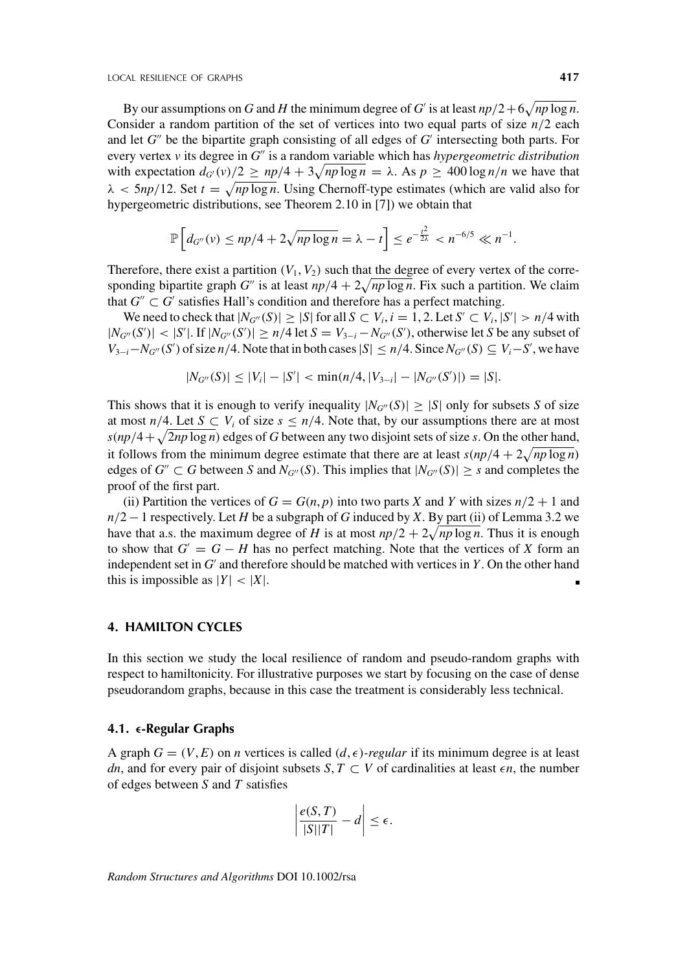By our assumptions on *G* and *H* the minimum degree of *G'* is at least  $np/2 + 6\sqrt{np \log n}$ . Consider a random partition of the set of vertices into two equal parts of size  $n/2$  each and let  $G''$  be the bipartite graph consisting of all edges of  $G'$  intersecting both parts. For every vertex  $v$  its degree in  $G''$  is a random variable which has *hypergeometric distribution* with expectation  $d_{G}(v)/2 \ge np/4 + 3\sqrt{np \log n} = \lambda$ . As  $p \ge 400 \log n/n$  we have that  $\lambda < 5np/12$ . Set  $t = \sqrt{np \log n}$ . Using Chernoff-type estimates (which are valid also for hypergeometric distributions, see Theorem 2.10 in [7]) we obtain that

$$
\mathbb{P}\left[ d_{G''}(v) \leq np/4 + 2\sqrt{np\log n} = \lambda - t \right] \leq e^{-\frac{t^2}{2\lambda}} < n^{-6/5} \ll n^{-1}.
$$

Therefore, there exist a partition  $(V_1, V_2)$  such that the degree of every vertex of the corresponding bipartite graph *G*<sup>*n*</sup> is at least  $np/4 + 2\sqrt{np \log n}$ . Fix such a partition. We claim that  $G'' \subset G'$  satisfies Hall's condition and therefore has a perfect matching.

We need to check that  $|N_{G''}(S)| \ge |S|$  for all  $S \subset V_i$ ,  $i = 1, 2$ . Let  $S' \subset V_i$ ,  $|S'| > n/4$  with  $|N_{G''}(S')|$  < |S'|. If  $|N_{G''}(S')|$  ≥ *n*/4 let *S* =  $V_{3-i} - N_{G''}(S')$ , otherwise let *S* be any subset of  $V_{3-i} - N_{G''}(S')$  of size *n*/4. Note that in both cases  $|S| \le n/4$ . Since  $N_{G''}(S) \subseteq V_i - S'$ , we have

$$
|N_{G''}(S)| \leq |V_i| - |S'| < \min(n/4, |V_{3-i}| - |N_{G''}(S')|) = |S|.
$$

This shows that it is enough to verify inequality  $|N_{G''}(S)| \geq |S|$  only for subsets *S* of size at most  $n/4$ . Let  $S \subset V_i$  of size  $s \leq n/4$ . Note that, by our assumptions there are at most  $s(np/4 + \sqrt{2np \log n}$  edges of *G* between any two disjoint sets of size *s*. On the other hand, it follows from the minimum degree estimate that there are at least  $s(np/4 + 2\sqrt{np \log n})$ edges of  $G'' \subset G$  between *S* and  $N_{G''}(S)$ . This implies that  $|N_{G''}(S)| \geq s$  and completes the proof of the first part.

(ii) Partition the vertices of  $G = G(n, p)$  into two parts *X* and *Y* with sizes  $n/2 + 1$  and  $n/2 - 1$  respectively. Let *H* be a subgraph of *G* induced by *X*. By part (ii) of Lemma 3.2 we have that a.s. the maximum degree of *H* is at most  $np/2 + 2\sqrt{np \log n}$ . Thus it is enough to show that  $G' = G - H$  has no perfect matching. Note that the vertices of *X* form an independent set in *G'* and therefore should be matched with vertices in *Y*. On the other hand this is impossible as  $|Y| < |X|$ .

# **4. HAMILTON CYCLES**

In this section we study the local resilience of random and pseudo-random graphs with respect to hamiltonicity. For illustrative purposes we start by focusing on the case of dense pseudorandom graphs, because in this case the treatment is considerably less technical.

#### **4.1. -Regular Graphs**

A graph  $G = (V, E)$  on *n* vertices is called  $(d, \epsilon)$ -regular if its minimum degree is at least *dn*, and for every pair of disjoint subsets *S*, *T*  $\subset$  *V* of cardinalities at least  $\epsilon n$ , the number of edges between *S* and *T* satisfies

$$
\left|\frac{e(S,T)}{|S||T|}-d\right|\leq\epsilon.
$$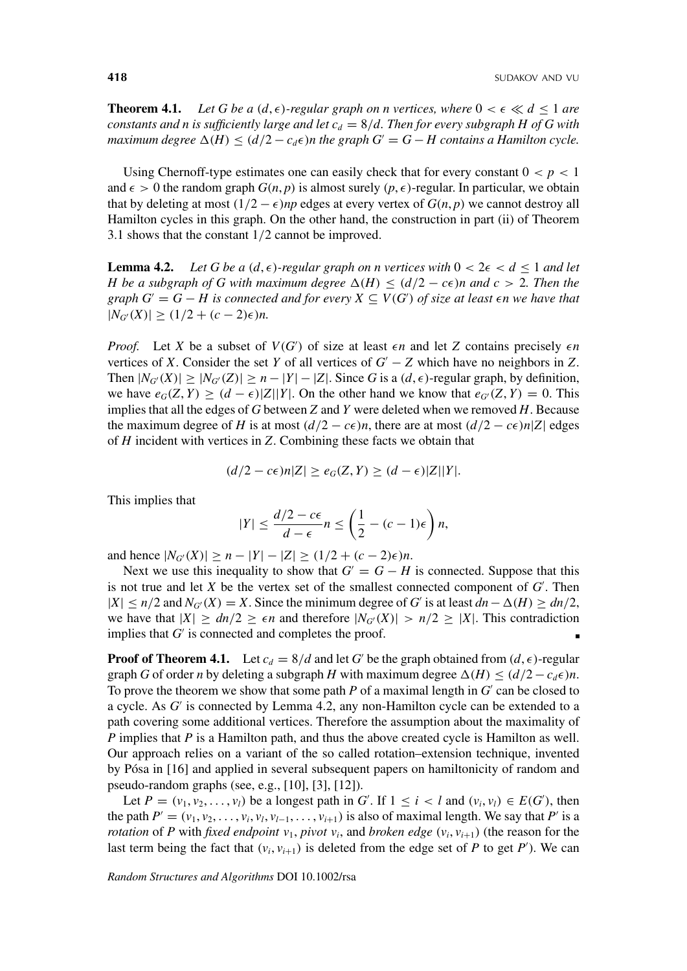**Theorem 4.1.** *Let G be a*  $(d, \epsilon)$ *-regular graph on n vertices, where*  $0 < \epsilon \ll d \leq 1$  *are constants and n is sufficiently large and let*  $c_d = 8/d$ *. Then for every subgraph H of G with maximum degree*  $\Delta(H) \leq (d/2 - c_d \epsilon)n$  the graph  $G' = G - H$  contains a Hamilton cycle.

Using Chernoff-type estimates one can easily check that for every constant  $0 < p < 1$ and  $\epsilon > 0$  the random graph  $G(n, p)$  is almost surely  $(p, \epsilon)$ -regular. In particular, we obtain that by deleting at most  $(1/2 - \epsilon)np$  edges at every vertex of  $G(n, p)$  we cannot destroy all Hamilton cycles in this graph. On the other hand, the construction in part (ii) of Theorem 3.1 shows that the constant 1/2 cannot be improved.

**Lemma 4.2.** Let G be a  $(d, \epsilon)$ -regular graph on n vertices with  $0 < 2\epsilon < d \leq 1$  and let *H* be a subgraph of G with maximum degree  $\Delta(H) \leq (d/2 - c\epsilon)n$  and  $c > 2$ . Then the *graph*  $G' = G - H$  is connected and for every  $X \subseteq V(G')$  of size at least  $\epsilon n$  we have that  $|N_{G'}(X)|$  ≥ (1/2 + (c − 2) $\epsilon$ )*n*.

*Proof.* Let *X* be a subset of  $V(G')$  of size at least  $\epsilon n$  and let *Z* contains precisely  $\epsilon n$ vertices of *X*. Consider the set *Y* of all vertices of *G* − *Z* which have no neighbors in *Z*. Then  $|N_{G'}(X)| \geq |N_{G'}(Z)| \geq n - |Y| - |Z|$ . Since *G* is a  $(d, \epsilon)$ -regular graph, by definition, we have  $e_G(Z, Y) \ge (d - \epsilon)|Z||Y|$ . On the other hand we know that  $e_{G'}(Z, Y) = 0$ . This implies that all the edges of *G* between *Z* and *Y* were deleted when we removed *H*. Because the maximum degree of *H* is at most  $(d/2 - c\epsilon)n$ , there are at most  $(d/2 - c\epsilon)n|Z|$  edges of *H* incident with vertices in *Z*. Combining these facts we obtain that

$$
\left(d/2 - c\epsilon\right) n|Z| \ge e_G(Z, Y) \ge \left(d - \epsilon\right) |Z||Y|.
$$

This implies that

$$
|Y| \le \frac{d/2 - c\epsilon}{d - \epsilon} n \le \left(\frac{1}{2} - (c - 1)\epsilon\right) n,
$$

and hence  $|N_{G'}(X)| \ge n - |Y| - |Z| \ge (1/2 + (c - 2)\epsilon)n$ .

Next we use this inequality to show that  $G' = G - H$  is connected. Suppose that this is not true and let *X* be the vertex set of the smallest connected component of *G* . Then  $|X|$  ≤ *n*/2 and  $N_G(X) = X$ . Since the minimum degree of *G'* is at least  $dn - ∆(H) ≥ dn/2$ , we have that  $|X| \geq dn/2 \geq \epsilon n$  and therefore  $|N_{G'}(X)| > n/2 \geq |X|$ . This contradiction implies that  $G'$  is connected and completes the proof.

**Proof of Theorem 4.1.** Let  $c_d = 8/d$  and let G' be the graph obtained from  $(d, \epsilon)$ -regular graph *G* of order *n* by deleting a subgraph *H* with maximum degree  $\Delta(H) \leq (d/2 - c_d \epsilon)n$ . To prove the theorem we show that some path  $P$  of a maximal length in  $G'$  can be closed to a cycle. As *G* is connected by Lemma 4.2, any non-Hamilton cycle can be extended to a path covering some additional vertices. Therefore the assumption about the maximality of *P* implies that *P* is a Hamilton path, and thus the above created cycle is Hamilton as well. Our approach relies on a variant of the so called rotation–extension technique, invented by Pósa in [16] and applied in several subsequent papers on hamiltonicity of random and pseudo-random graphs (see, e.g., [10], [3], [12]).

Let  $P = (v_1, v_2, \dots, v_l)$  be a longest path in *G'*. If  $1 \le i < l$  and  $(v_i, v_l) \in E(G')$ , then the path  $P' = (v_1, v_2, \dots, v_i, v_l, v_{l-1}, \dots, v_{i+1})$  is also of maximal length. We say that  $P'$  is a *rotation* of *P* with *fixed endpoint*  $v_1$ *, pivot*  $v_i$ *,* and *broken edge*  $(v_i, v_{i+1})$  (the reason for the last term being the fact that  $(v_i, v_{i+1})$  is deleted from the edge set of *P* to get *P*<sup>'</sup>). We can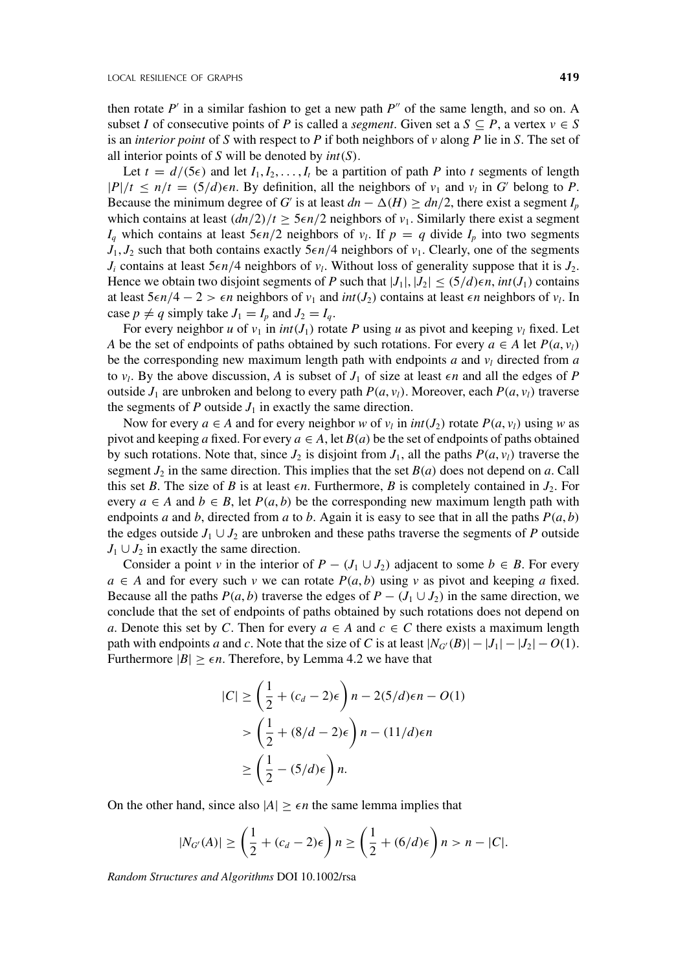then rotate  $P'$  in a similar fashion to get a new path  $P''$  of the same length, and so on. A subset *I* of consecutive points of *P* is called a *segment*. Given set a  $S \subseteq P$ , a vertex  $v \in S$ is an *interior point* of *S* with respect to *P* if both neighbors of *v* along *P* lie in *S*. The set of all interior points of *S* will be denoted by *int*(*S*).

Let  $t = d/(5\epsilon)$  and let  $I_1, I_2, \ldots, I_t$  be a partition of path *P* into *t* segments of length  $|P|/t \le n/t = (5/d)\epsilon n$ . By definition, all the neighbors of  $v_1$  and  $v_i$  in *G* belong to *P*. Because the minimum degree of *G'* is at least  $dn - \Delta(H) \ge dn/2$ , there exist a segment  $I_p$ which contains at least  $(dn/2)/t \ge 5\epsilon n/2$  neighbors of  $v_1$ . Similarly there exist a segment  $I_q$  which contains at least  $5\epsilon n/2$  neighbors of  $v_l$ . If  $p = q$  divide  $I_p$  into two segments  $J_1, J_2$  such that both contains exactly  $5\epsilon n/4$  neighbors of  $v_1$ . Clearly, one of the segments  $J_i$  contains at least  $5\epsilon n/4$  neighbors of  $v_i$ . Without loss of generality suppose that it is  $J_2$ . Hence we obtain two disjoint segments of *P* such that  $|J_1|, |J_2| \leq (5/d)\epsilon n$ , *int*(*J*<sub>1</sub>) contains at least  $5\epsilon n/4 - 2 > \epsilon n$  neighbors of  $v_1$  and  $int(J_2)$  contains at least  $\epsilon n$  neighbors of  $v_l$ . In case  $p \neq q$  simply take  $J_1 = I_p$  and  $J_2 = I_q$ .

For every neighbor *u* of  $v_1$  in  $int(J_1)$  rotate *P* using *u* as pivot and keeping  $v_l$  fixed. Let *A* be the set of endpoints of paths obtained by such rotations. For every  $a \in A$  let  $P(a, v_i)$ be the corresponding new maximum length path with endpoints *a* and  $v_l$  directed from *a* to  $v_l$ . By the above discussion, A is subset of  $J_1$  of size at least  $\epsilon n$  and all the edges of P outside  $J_1$  are unbroken and belong to every path  $P(a, v_l)$ . Moreover, each  $P(a, v_l)$  traverse the segments of  $P$  outside  $J_1$  in exactly the same direction.

Now for every  $a \in A$  and for every neighbor *w* of  $v_l$  in  $int(J_2)$  rotate  $P(a, v_l)$  using *w* as pivot and keeping *a* fixed. For every  $a \in A$ , let  $B(a)$  be the set of endpoints of paths obtained by such rotations. Note that, since  $J_2$  is disjoint from  $J_1$ , all the paths  $P(a, v_l)$  traverse the segment  $J_2$  in the same direction. This implies that the set  $B(a)$  does not depend on *a*. Call this set *B*. The size of *B* is at least  $\epsilon n$ . Furthermore, *B* is completely contained in  $J_2$ . For every  $a \in A$  and  $b \in B$ , let  $P(a, b)$  be the corresponding new maximum length path with endpoints *a* and *b*, directed from *a* to *b*. Again it is easy to see that in all the paths  $P(a, b)$ the edges outside  $J_1 \cup J_2$  are unbroken and these paths traverse the segments of *P* outside  $J_1 \cup J_2$  in exactly the same direction.

Consider a point *v* in the interior of  $P - (J_1 \cup J_2)$  adjacent to some  $b \in B$ . For every *a* ∈ *A* and for every such *v* we can rotate  $P(a, b)$  using *v* as pivot and keeping *a* fixed. Because all the paths  $P(a, b)$  traverse the edges of  $P - (J_1 \cup J_2)$  in the same direction, we conclude that the set of endpoints of paths obtained by such rotations does not depend on *a*. Denote this set by *C*. Then for every  $a \in A$  and  $c \in C$  there exists a maximum length path with endpoints *a* and *c*. Note that the size of *C* is at least  $|N_{G'}(B)| - |J_1| - |J_2| - O(1)$ . Furthermore  $|B| \geq \epsilon n$ . Therefore, by Lemma 4.2 we have that

$$
|C| \ge \left(\frac{1}{2} + (c_d - 2)\epsilon\right) n - 2(5/d)\epsilon n - O(1)
$$
  
> 
$$
\left(\frac{1}{2} + (8/d - 2)\epsilon\right) n - (11/d)\epsilon n
$$
  

$$
\ge \left(\frac{1}{2} - (5/d)\epsilon\right) n.
$$

On the other hand, since also  $|A| > \epsilon n$  the same lemma implies that

$$
|N_{G'}(A)| \ge \left(\frac{1}{2} + (c_d - 2)\epsilon\right) n \ge \left(\frac{1}{2} + (6/d)\epsilon\right) n > n - |C|.
$$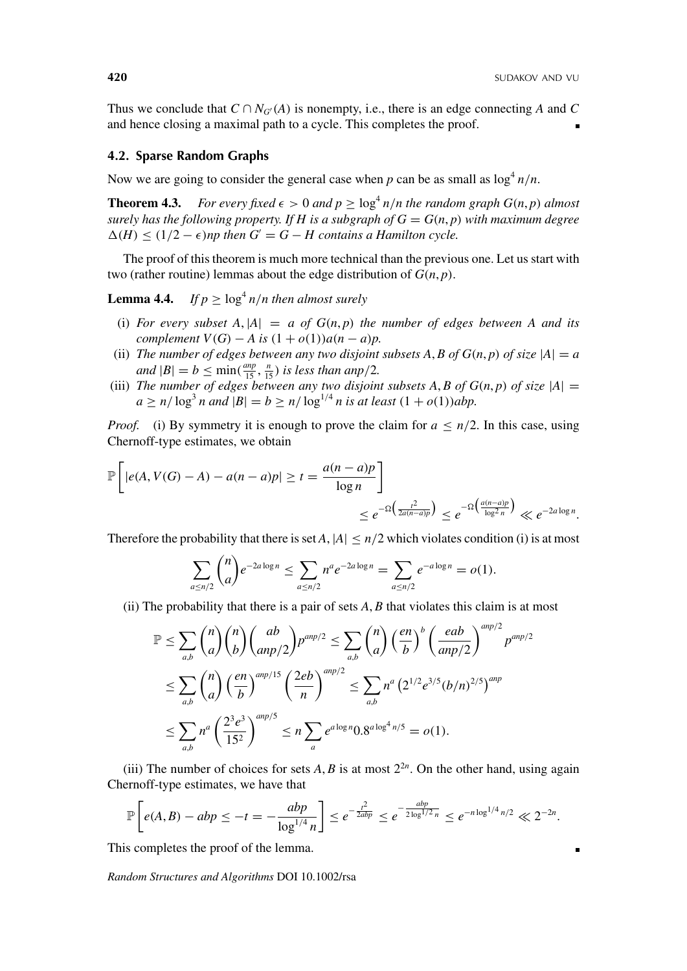п

Thus we conclude that  $C \cap N_{G'}(A)$  is nonempty, i.e., there is an edge connecting *A* and *C* and hence closing a maximal path to a cycle. This completes the proof.

## **4.2. Sparse Random Graphs**

Now we are going to consider the general case when  $p$  can be as small as  $\log^4 n/n$ .

**Theorem 4.3.** *For every fixed*  $\epsilon > 0$  *and*  $p \geq \log^4 n/n$  *the random graph*  $G(n, p)$  *almost surely has the following property. If H is a subgraph of*  $G = G(n, p)$  *with maximum degree*  $\Delta(H) \leq (1/2 - \epsilon)$ np then  $G' = G - H$  contains a Hamilton cycle.

The proof of this theorem is much more technical than the previous one. Let us start with two (rather routine) lemmas about the edge distribution of  $G(n, p)$ .

**Lemma 4.4.** *If*  $p \geq \log^4 n/n$  then almost surely

- (i) For every subset  $A$ ,  $|A| = a$  of  $G(n, p)$  the number of edges between A and its *complement*  $V(G) - A$  *is*  $(1 + o(1))a(n - a)p$ .
- (ii) *The number of edges between any two disjoint subsets A, B of*  $G(n, p)$  *of size*  $|A| = a$ *and*  $|B| = b \le \min(\frac{anp}{15}, \frac{n}{15})$  *is less than anp*/2*.*
- (iii) *The number of edges between any two disjoint subsets A, B of*  $G(n, p)$  *of size*  $|A|$  =  $a \ge n/\log^3 n$  *and*  $|B| = b \ge n/\log^{1/4} n$  *is at least*  $(1 + o(1))abp$ .

*Proof.* (i) By symmetry it is enough to prove the claim for  $a \leq n/2$ . In this case, using Chernoff-type estimates, we obtain

$$
\mathbb{P}\left[|e(A, V(G)-A) - a(n-a)p| \ge t = \frac{a(n-a)p}{\log n}\right] \le e^{-\Omega\left(\frac{t^2}{2a(n-a)p}\right)} \le e^{-\Omega\left(\frac{a(n-a)p}{\log^2 n}\right)} \ll e^{-2a\log n}.
$$

Therefore the probability that there is set *A*,  $|A| \le n/2$  which violates condition (i) is at most

$$
\sum_{a \le n/2} {n \choose a} e^{-2a \log n} \le \sum_{a \le n/2} n^a e^{-2a \log n} = \sum_{a \le n/2} e^{-a \log n} = o(1).
$$

(ii) The probability that there is a pair of sets  $A, B$  that violates this claim is at most

$$
\mathbb{P} \leq \sum_{a,b} {n \choose a} {n \choose b} {ab \choose anp/2} p^{amp/2} \leq \sum_{a,b} {n \choose a} \left(\frac{en}{b}\right)^b \left(\frac{eab}{anp/2}\right)^{anp/2} p^{amp/2}
$$
  

$$
\leq \sum_{a,b} {n \choose a} \left(\frac{en}{b}\right)^{amp/15} \left(\frac{2eb}{n}\right)^{anp/2} \leq \sum_{a,b} n^a \left(2^{1/2} e^{3/5} (b/n)^{2/5}\right)^{amp}
$$
  

$$
\leq \sum_{a,b} n^a \left(\frac{2^3 e^3}{15^2}\right)^{anp/5} \leq n \sum_{a} e^{a \log n} 0.8^{a \log^4 n/5} = o(1).
$$

(iii) The number of choices for sets A, B is at most  $2^{2n}$ . On the other hand, using again Chernoff-type estimates, we have that

$$
\mathbb{P}\left[e(A,B)-abp\leq -t=-\frac{abp}{\log^{1/4}n}\right]\leq e^{-\frac{t^2}{2abp}}\leq e^{-\frac{abp}{2\log^{1/2}n}}\leq e^{-n\log^{1/4}n/2}\ll 2^{-2n}.
$$

This completes the proof of the lemma.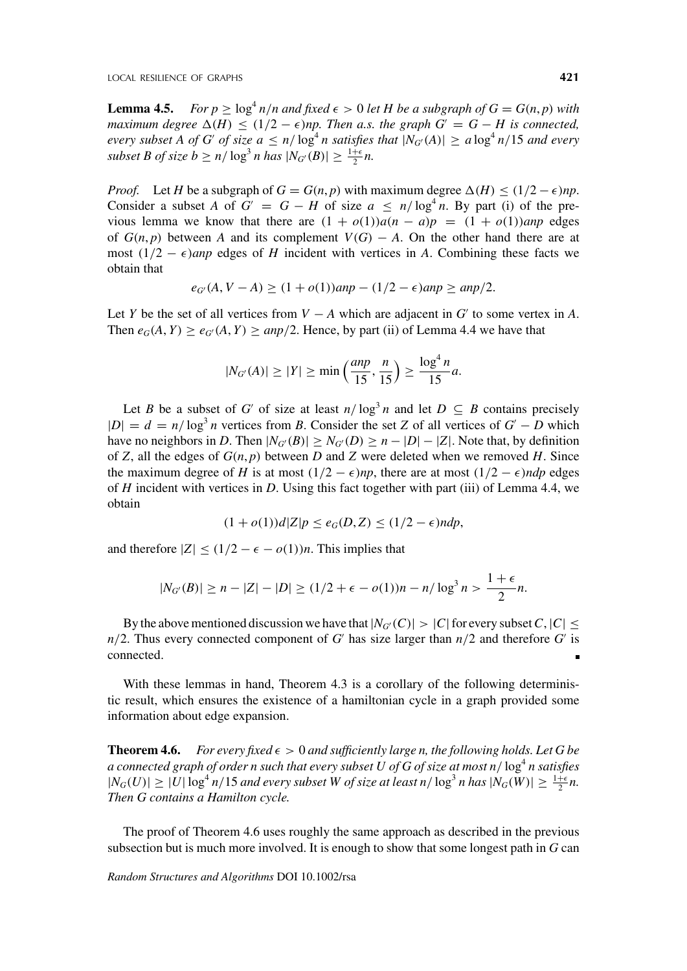**Lemma 4.5.** *For*  $p \ge \log^4 n/n$  *and fixed*  $\epsilon > 0$  *let H be a subgraph of*  $G = G(n, p)$  *with maximum degree*  $\Delta(H) \leq (1/2 - \epsilon)np$ . Then a.s. the graph  $G' = G - H$  is connected, *every subset A of G' of size*  $a \le n/\log^4 n$  *satisfies that*  $|N_{G'}(A)| \ge a \log^4 n/15$  *and every subset B of size b*  $\geq n/\log^3 n$  *has*  $|N_{G'}(B)| \geq \frac{1+\epsilon}{2}n$ .

*Proof.* Let *H* be a subgraph of  $G = G(n, p)$  with maximum degree  $\Delta(H) \leq (1/2 - \epsilon)np$ . Consider a subset *A* of  $G' = G - H$  of size  $a \le n/\log^4 n$ . By part (i) of the previous lemma we know that there are  $(1 + o(1))a(n - a)p = (1 + o(1))anp$  edges of  $G(n, p)$  between *A* and its complement  $V(G) - A$ . On the other hand there are at most  $(1/2 - \epsilon)$ *anp* edges of *H* incident with vertices in *A*. Combining these facts we obtain that

$$
e_{G'}(A, V - A) \ge (1 + o(1)) \text{an}p - (1/2 - \epsilon) \text{an}p \ge \text{an}p/2.
$$

Let *Y* be the set of all vertices from  $V - A$  which are adjacent in *G'* to some vertex in *A*. Then  $e_G(A, Y) \geq e_{G'}(A, Y) \geq \frac{a}{2}$ . Hence, by part (ii) of Lemma 4.4 we have that

$$
|N_{G'}(A)| \ge |Y| \ge \min\left(\frac{anp}{15}, \frac{n}{15}\right) \ge \frac{\log^4 n}{15}a.
$$

Let *B* be a subset of *G'* of size at least  $n/\log^3 n$  and let  $D \subseteq B$  contains precisely  $|D| = d = n/\log^3 n$  vertices from *B*. Consider the set *Z* of all vertices of  $G' - D$  which have no neighbors in *D*. Then  $|N_{G'}(B)| \ge N_{G'}(D) \ge n - |D| - |Z|$ . Note that, by definition of *Z*, all the edges of  $G(n, p)$  between *D* and *Z* were deleted when we removed *H*. Since the maximum degree of *H* is at most  $(1/2 - \epsilon)np$ , there are at most  $(1/2 - \epsilon)ndp$  edges of *H* incident with vertices in *D*. Using this fact together with part (iii) of Lemma 4.4, we obtain

$$
(1+o(1))d|Z|p \le e_G(D,Z) \le (1/2-\epsilon)ndp,
$$

and therefore  $|Z| \leq (1/2 - \epsilon - o(1))n$ . This implies that

$$
|N_{G'}(B)| \ge n - |Z| - |D| \ge (1/2 + \epsilon - o(1))n - n/\log^3 n > \frac{1+\epsilon}{2}n.
$$

By the above mentioned discussion we have that  $|N_{G'}(C)| > |C|$  for every subset  $C, |C| <$  $n/2$ . Thus every connected component of *G'* has size larger than  $n/2$  and therefore *G'* is connected.

With these lemmas in hand, Theorem 4.3 is a corollary of the following deterministic result, which ensures the existence of a hamiltonian cycle in a graph provided some information about edge expansion.

**Theorem 4.6.** For every fixed  $\epsilon > 0$  and sufficiently large n, the following holds. Let G be *a connected graph of order n such that every subset U of G of size at most n*/ log4 *n satisfies*  $|N_G(U)| \geq |U| \log^4 n/15$  *and every subset W of size at least n*/  $\log^3 n$  *has*  $|N_G(W)| \geq \frac{1+\epsilon}{2}n$ . *Then G contains a Hamilton cycle.*

The proof of Theorem 4.6 uses roughly the same approach as described in the previous subsection but is much more involved. It is enough to show that some longest path in *G* can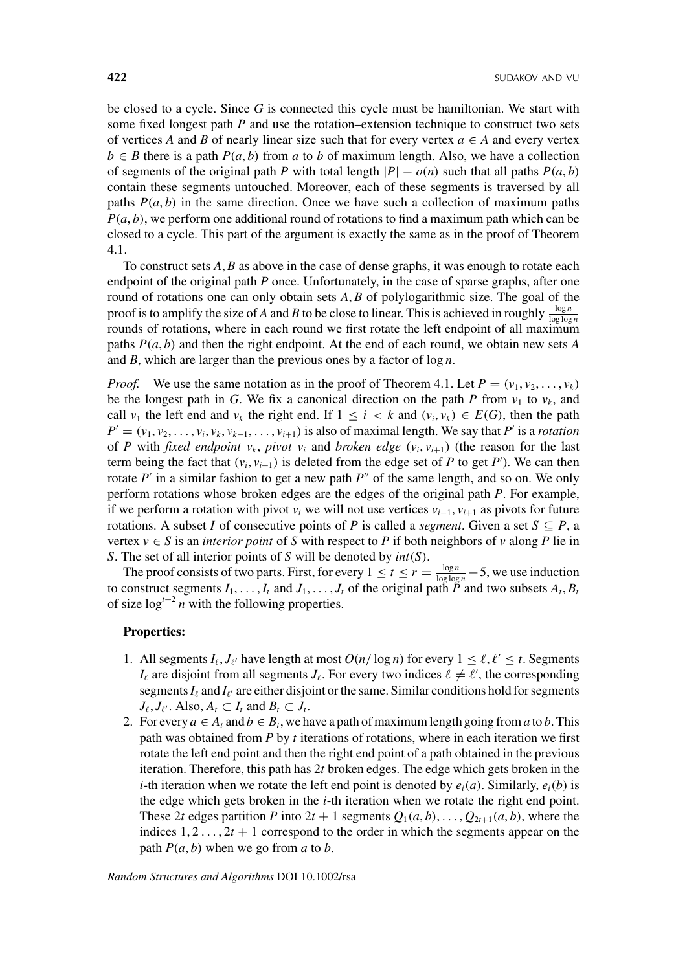be closed to a cycle. Since *G* is connected this cycle must be hamiltonian. We start with some fixed longest path *P* and use the rotation–extension technique to construct two sets of vertices *A* and *B* of nearly linear size such that for every vertex  $a \in A$  and every vertex  $b \in B$  there is a path  $P(a, b)$  from *a* to *b* of maximum length. Also, we have a collection of segments of the original path *P* with total length  $|P| - o(n)$  such that all paths  $P(a, b)$ contain these segments untouched. Moreover, each of these segments is traversed by all paths  $P(a, b)$  in the same direction. Once we have such a collection of maximum paths *P*(*a*, *b*), we perform one additional round of rotations to find a maximum path which can be closed to a cycle. This part of the argument is exactly the same as in the proof of Theorem 4.1.

To construct sets *A*, *B* as above in the case of dense graphs, it was enough to rotate each endpoint of the original path *P* once. Unfortunately, in the case of sparse graphs, after one round of rotations one can only obtain sets A, B of polylogarithmic size. The goal of the proof is to amplify the size of *A* and *B* to be close to linear. This is achieved in roughly  $\frac{\log n}{\log \log n}$ rounds of rotations, where in each round we first rotate the left endpoint of all maximum paths  $P(a, b)$  and then the right endpoint. At the end of each round, we obtain new sets  $A$ and *B*, which are larger than the previous ones by a factor of log *n*.

*Proof.* We use the same notation as in the proof of Theorem 4.1. Let  $P = (v_1, v_2, \dots, v_k)$ be the longest path in *G*. We fix a canonical direction on the path *P* from  $v_1$  to  $v_k$ , and call  $v_1$  the left end and  $v_k$  the right end. If  $1 \le i \le k$  and  $(v_i, v_k) \in E(G)$ , then the path  $P' = (v_1, v_2, \ldots, v_i, v_k, v_{k-1}, \ldots, v_{i+1})$  is also of maximal length. We say that *P* is a *rotation* of *P* with *fixed endpoint*  $v_k$ , *pivot*  $v_i$  and *broken edge*  $(v_i, v_{i+1})$  (the reason for the last term being the fact that  $(v_i, v_{i+1})$  is deleted from the edge set of *P* to get *P*<sup>'</sup>). We can then rotate  $P'$  in a similar fashion to get a new path  $P''$  of the same length, and so on. We only perform rotations whose broken edges are the edges of the original path *P*. For example, if we perform a rotation with pivot *vi* we will not use vertices *vi*−1, *vi*+<sup>1</sup> as pivots for future rotations. A subset *I* of consecutive points of *P* is called a *segment*. Given a set  $S \subseteq P$ , a vertex  $v \in S$  is an *interior point* of *S* with respect to *P* if both neighbors of *v* along *P* lie in *S*. The set of all interior points of *S* will be denoted by *int*(*S*).

The proof consists of two parts. First, for every  $1 \le t \le r = \frac{\log n}{\log \log n} - 5$ , we use induction to construct segments  $I_1, \ldots, I_t$  and  $J_1, \ldots, J_t$  of the original path  $\tilde{P}$  and two subsets  $A_t, B_t$ of size  $\log^{t+2} n$  with the following properties.

# **Properties:**

- 1. All segments  $I_{\ell}, J_{\ell'}$  have length at most  $O(n/\log n)$  for every  $1 \leq \ell, \ell' \leq t$ . Segments  $I_{\ell}$  are disjoint from all segments  $J_{\ell}$ . For every two indices  $\ell \neq \ell'$ , the corresponding segments  $I_\ell$  and  $I_{\ell'}$  are either disjoint or the same. Similar conditions hold for segments  $J_{\ell}, J_{\ell'}$ . Also,  $A_t \subset I_t$  and  $B_t \subset J_t$ .
- 2. For every  $a \in A_t$  and  $b \in B_t$ , we have a path of maximum length going from a to b. This path was obtained from *P* by *t* iterations of rotations, where in each iteration we first rotate the left end point and then the right end point of a path obtained in the previous iteration. Therefore, this path has 2*t* broken edges. The edge which gets broken in the *i*-th iteration when we rotate the left end point is denoted by  $e_i(a)$ . Similarly,  $e_i(b)$  is the edge which gets broken in the *i*-th iteration when we rotate the right end point. These 2*t* edges partition *P* into 2*t* + 1 segments  $Q_1(a, b), \ldots, Q_{2t+1}(a, b)$ , where the indices  $1, 2, \ldots, 2t + 1$  correspond to the order in which the segments appear on the path  $P(a, b)$  when we go from *a* to *b*.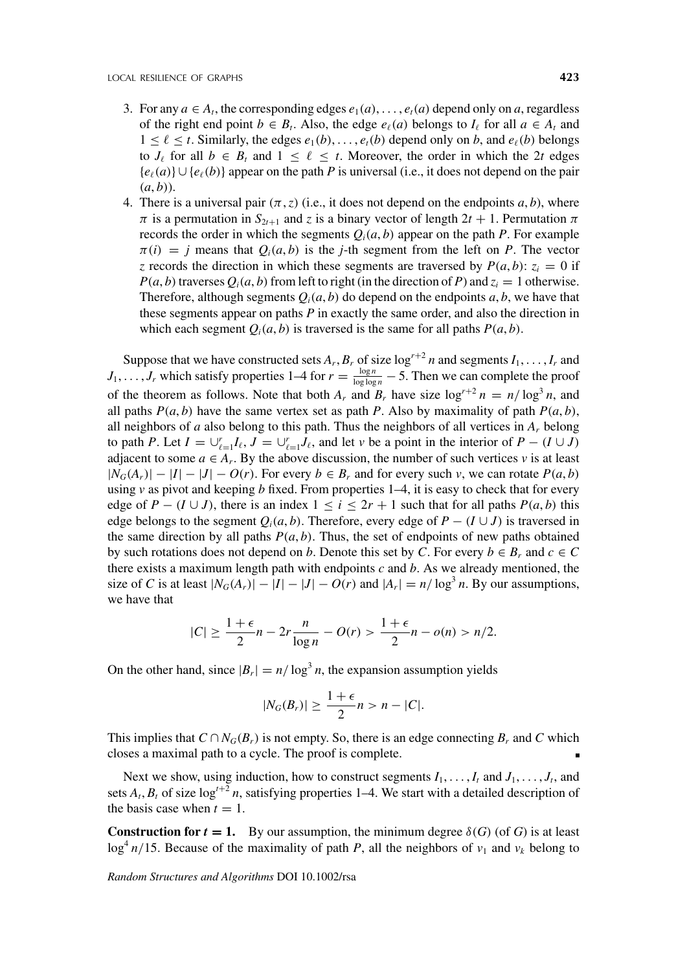- 3. For any  $a \in A_t$ , the corresponding edges  $e_1(a), \ldots, e_t(a)$  depend only on a, regardless of the right end point  $b \in B_t$ . Also, the edge  $e_\ell(a)$  belongs to  $I_\ell$  for all  $a \in A_t$  and  $1 \leq \ell \leq t$ . Similarly, the edges  $e_1(b), \ldots, e_t(b)$  depend only on *b*, and  $e_\ell(b)$  belongs to  $J_{\ell}$  for all  $b \in B_t$  and  $1 \leq \ell \leq t$ . Moreover, the order in which the 2*t* edges {*e*(*a*)}∪{*e*(*b*)} appear on the path *P* is universal (i.e., it does not depend on the pair  $(a, b)$ ).
- 4. There is a universal pair  $(\pi, z)$  (i.e., it does not depend on the endpoints  $a, b$ ), where  $\pi$  is a permutation in  $S_{2t+1}$  and *z* is a binary vector of length  $2t + 1$ . Permutation  $\pi$ records the order in which the segments  $Q_i(a, b)$  appear on the path *P*. For example  $\pi(i) = j$  means that  $Q_i(a, b)$  is the *j*-th segment from the left on *P*. The vector *z* records the direction in which these segments are traversed by  $P(a, b)$ :  $z_i = 0$  if  $P(a, b)$  traverses  $Q_i(a, b)$  from left to right (in the direction of *P*) and  $z_i = 1$  otherwise. Therefore, although segments  $Q_i(a, b)$  do depend on the endpoints  $a, b$ , we have that these segments appear on paths *P* in exactly the same order, and also the direction in which each segment  $Q_i(a, b)$  is traversed is the same for all paths  $P(a, b)$ .

Suppose that we have constructed sets  $A_r$ ,  $B_r$  of size  $\log^{r+2} n$  and segments  $I_1, \ldots, I_r$  and *J*<sub>1</sub>, ..., *J<sub>r</sub>* which satisfy properties 1–4 for  $r = \frac{\log n}{\log \log n} - 5$ . Then we can complete the proof of the theorem as follows. Note that both  $A_r$  and  $B_r$  have size  $\log^{r+2} n = n/\log^3 n$ , and all paths  $P(a, b)$  have the same vertex set as path *P*. Also by maximality of path  $P(a, b)$ , all neighbors of  $a$  also belong to this path. Thus the neighbors of all vertices in  $A_r$  belong to path *P*. Let  $I = \bigcup_{\ell=1}^{r} I_{\ell}, J = \bigcup_{\ell=1}^{r} J_{\ell}$ , and let *v* be a point in the interior of  $P - (I \cup J)$ adjacent to some  $a \in A_r$ . By the above discussion, the number of such vertices *v* is at least  $|N_G(A_r)| - |I| - |J| - O(r)$ . For every  $b \in B_r$  and for every such *v*, we can rotate  $P(a, b)$ using *v* as pivot and keeping *b* fixed. From properties 1–4, it is easy to check that for every edge of  $P - (I \cup J)$ , there is an index  $1 \le i \le 2r + 1$  such that for all paths  $P(a, b)$  this edge belongs to the segment  $Q_i(a, b)$ . Therefore, every edge of  $P - (I \cup J)$  is traversed in the same direction by all paths  $P(a, b)$ . Thus, the set of endpoints of new paths obtained by such rotations does not depend on *b*. Denote this set by *C*. For every  $b \in B_r$  and  $c \in C$ there exists a maximum length path with endpoints *c* and *b*. As we already mentioned, the size of *C* is at least  $|N_G(A_r)| - |I| - |J| - O(r)$  and  $|A_r| = n/\log^3 n$ . By our assumptions, we have that

$$
|C| \ge \frac{1+\epsilon}{2}n - 2r\frac{n}{\log n} - O(r) > \frac{1+\epsilon}{2}n - o(n) > n/2.
$$

On the other hand, since  $|B_r| = n/\log^3 n$ , the expansion assumption yields

$$
|N_G(B_r)| \ge \frac{1+\epsilon}{2}n > n - |C|.
$$

This implies that  $C \cap N_G(B_r)$  is not empty. So, there is an edge connecting  $B_r$  and C which closes a maximal path to a cycle. The proof is complete.

Next we show, using induction, how to construct segments  $I_1, \ldots, I_t$  and  $J_1, \ldots, J_t$ , and sets  $A_t$ ,  $B_t$  of size  $\log^{t+2} n$ , satisfying properties 1–4. We start with a detailed description of the basis case when  $t = 1$ .

**Construction for**  $t = 1$ **.** By our assumption, the minimum degree  $\delta(G)$  (of *G*) is at least  $\log^4 n/15$ . Because of the maximality of path *P*, all the neighbors of  $v_1$  and  $v_k$  belong to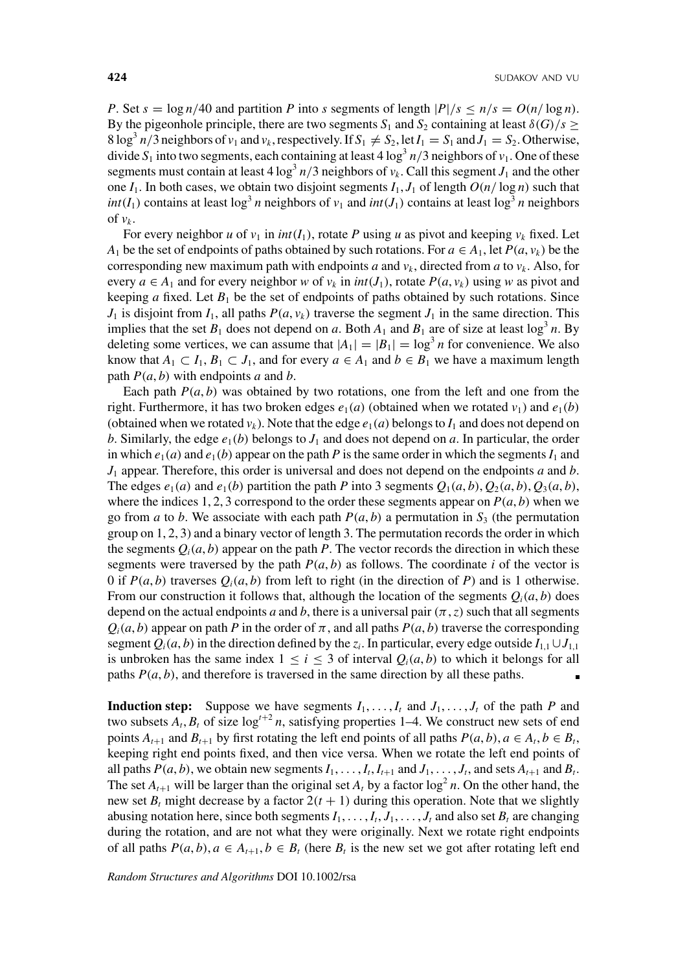*P*. Set  $s = \log n/40$  and partition *P* into *s* segments of length  $|P|/s \le n/s = O(n/\log n)$ . By the pigeonhole principle, there are two segments  $S_1$  and  $S_2$  containing at least  $\delta(G)/s \geq$  $8 \log^3 n/3$  neighbors of  $v_1$  and  $v_k$ , respectively. If  $S_1 \neq S_2$ , let  $I_1 = S_1$  and  $J_1 = S_2$ . Otherwise, divide  $S_1$  into two segments, each containing at least  $4 \log^3 n/3$  neighbors of  $v_1$ . One of these segments must contain at least 4  $\log^3 n/3$  neighbors of  $v_k$ . Call this segment  $J_1$  and the other one  $I_1$ . In both cases, we obtain two disjoint segments  $I_1$ ,  $J_1$  of length  $O(n/\log n)$  such that *int*( $I_1$ ) contains at least log<sup>3</sup> *n* neighbors of  $v_1$  and *int*( $J_1$ ) contains at least log<sup>3</sup> *n* neighbors of  $v_k$ .

For every neighbor *u* of  $v_1$  in  $int(I_1)$ , rotate *P* using *u* as pivot and keeping  $v_k$  fixed. Let *A*<sub>1</sub> be the set of endpoints of paths obtained by such rotations. For  $a \in A_1$ , let  $P(a, v_k)$  be the corresponding new maximum path with endpoints *a* and  $v_k$ , directed from *a* to  $v_k$ . Also, for every  $a \in A_1$  and for every neighbor *w* of  $v_k$  in  $int(J_1)$ , rotate  $P(a, v_k)$  using *w* as pivot and keeping *a* fixed. Let  $B_1$  be the set of endpoints of paths obtained by such rotations. Since  $J_1$  is disjoint from  $I_1$ , all paths  $P(a, v_k)$  traverse the segment  $J_1$  in the same direction. This implies that the set  $B_1$  does not depend on *a*. Both  $A_1$  and  $B_1$  are of size at least  $\log^3 n$ . By deleting some vertices, we can assume that  $|A_1|=|B_1|=\log^3 n$  for convenience. We also know that  $A_1 \subset I_1, B_1 \subset J_1$ , and for every  $a \in A_1$  and  $b \in B_1$  we have a maximum length path  $P(a, b)$  with endpoints *a* and *b*.

Each path  $P(a, b)$  was obtained by two rotations, one from the left and one from the right. Furthermore, it has two broken edges  $e_1(a)$  (obtained when we rotated  $v_1$ ) and  $e_1(b)$ (obtained when we rotated  $v_k$ ). Note that the edge  $e_1(a)$  belongs to  $I_1$  and does not depend on *b*. Similarly, the edge  $e_1(b)$  belongs to  $J_1$  and does not depend on  $a$ . In particular, the order in which  $e_1(a)$  and  $e_1(b)$  appear on the path P is the same order in which the segments  $I_1$  and *J*<sup>1</sup> appear. Therefore, this order is universal and does not depend on the endpoints *a* and *b*. The edges  $e_1(a)$  and  $e_1(b)$  partition the path *P* into 3 segments  $Q_1(a, b)$ ,  $Q_2(a, b)$ ,  $Q_3(a, b)$ , where the indices 1, 2, 3 correspond to the order these segments appear on  $P(a, b)$  when we go from *a* to *b*. We associate with each path  $P(a, b)$  a permutation in  $S_3$  (the permutation group on 1, 2, 3) and a binary vector of length 3. The permutation records the order in which the segments  $Q_i(a, b)$  appear on the path P. The vector records the direction in which these segments were traversed by the path  $P(a, b)$  as follows. The coordinate *i* of the vector is 0 if  $P(a, b)$  traverses  $Q_i(a, b)$  from left to right (in the direction of *P*) and is 1 otherwise. From our construction it follows that, although the location of the segments  $Q_i(a, b)$  does depend on the actual endpoints *a* and *b*, there is a universal pair  $(\pi, z)$  such that all segments  $Q_i(a, b)$  appear on path *P* in the order of  $\pi$ , and all paths  $P(a, b)$  traverse the corresponding segment  $Q_i(a, b)$  in the direction defined by the *z<sub>i</sub>*. In particular, every edge outside  $I_{1,1} \cup J_{1,1}$ is unbroken has the same index  $1 \le i \le 3$  of interval  $Q_i(a, b)$  to which it belongs for all paths  $P(a, b)$ , and therefore is traversed in the same direction by all these paths.

**Induction step:** Suppose we have segments  $I_1, \ldots, I_t$  and  $J_1, \ldots, J_t$  of the path *P* and two subsets  $A_t$ ,  $B_t$  of size  $\log^{t+2} n$ , satisfying properties 1–4. We construct new sets of end points  $A_{t+1}$  and  $B_{t+1}$  by first rotating the left end points of all paths  $P(a, b), a \in A_t, b \in B_t$ , keeping right end points fixed, and then vice versa. When we rotate the left end points of all paths  $P(a, b)$ , we obtain new segments  $I_1, \ldots, I_t, I_{t+1}$  and  $J_1, \ldots, J_t$ , and sets  $A_{t+1}$  and  $B_t$ . The set  $A_{t+1}$  will be larger than the original set  $A_t$  by a factor  $\log^2 n$ . On the other hand, the new set  $B_t$  might decrease by a factor  $2(t + 1)$  during this operation. Note that we slightly abusing notation here, since both segments  $I_1, \ldots, I_t, J_1, \ldots, J_t$  and also set  $B_t$  are changing during the rotation, and are not what they were originally. Next we rotate right endpoints of all paths  $P(a, b)$ ,  $a \in A_{t+1}$ ,  $b \in B_t$  (here  $B_t$  is the new set we got after rotating left end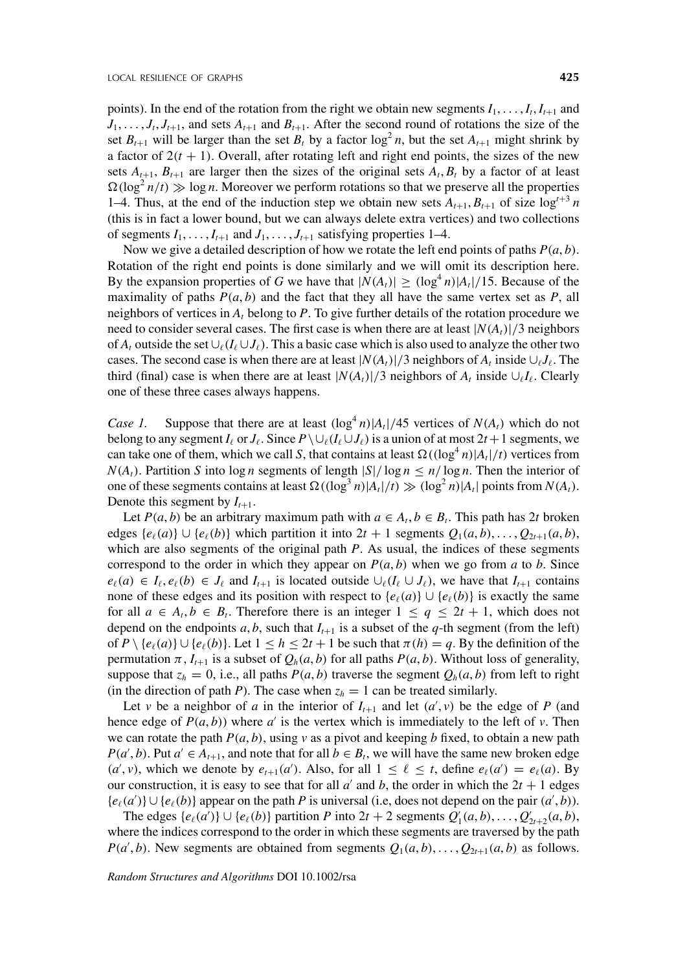points). In the end of the rotation from the right we obtain new segments  $I_1, \ldots, I_t, I_{t+1}$  and  $J_1, \ldots, J_t, J_{t+1}$ , and sets  $A_{t+1}$  and  $B_{t+1}$ . After the second round of rotations the size of the set  $B_{t+1}$  will be larger than the set  $B_t$  by a factor  $\log^2 n$ , but the set  $A_{t+1}$  might shrink by a factor of  $2(t + 1)$ . Overall, after rotating left and right end points, the sizes of the new sets  $A_{t+1}$ ,  $B_{t+1}$  are larger then the sizes of the original sets  $A_t$ ,  $B_t$  by a factor of at least  $\Omega(\log^2 n/t) \gg \log n$ . Moreover we perform rotations so that we preserve all the properties 1–4. Thus, at the end of the induction step we obtain new sets  $A_{t+1}, B_{t+1}$  of size  $\log^{t+3} n$ (this is in fact a lower bound, but we can always delete extra vertices) and two collections of segments  $I_1, \ldots, I_{t+1}$  and  $J_1, \ldots, J_{t+1}$  satisfying properties 1–4.

Now we give a detailed description of how we rotate the left end points of paths *P*(*a*, *b*). Rotation of the right end points is done similarly and we will omit its description here. By the expansion properties of *G* we have that  $|N(A_t)| \geq (\log^4 n)|A_t|/15$ . Because of the maximality of paths  $P(a, b)$  and the fact that they all have the same vertex set as  $P$ , all neighbors of vertices in  $A_t$  belong to  $P$ . To give further details of the rotation procedure we need to consider several cases. The first case is when there are at least  $|N(A_t)|/3$  neighbors of  $A_t$  outside the set  $\cup_{\ell} (I_{\ell} \cup J_{\ell})$ . This a basic case which is also used to analyze the other two cases. The second case is when there are at least  $|N(A_t)|/3$  neighbors of  $A_t$  inside  $\cup_f J_f$ . The third (final) case is when there are at least  $|N(A_t)|/3$  neighbors of  $A_t$  inside  $\cup_{\ell} I_{\ell}$ . Clearly one of these three cases always happens.

*Case 1.* Suppose that there are at least  $(\log^4 n)|A_t|/45$  vertices of  $N(A_t)$  which do not belong to any segment  $I_\ell$  or  $J_\ell$ . Since  $P \setminus \cup_\ell (I_\ell \cup J_\ell)$  is a union of at most  $2t+1$  segments, we can take one of them, which we call *S*, that contains at least  $\Omega((\log^4 n)|A_t|/t)$  vertices from *N*( $A_t$ ). Partition *S* into log *n* segments of length  $|S|/\log n \le n/\log n$ . Then the interior of one of these segments contains at least  $\Omega((\log^3 n)|A_t|/t) \gg (\log^2 n)|A_t|$  points from  $N(A_t)$ . Denote this segment by  $I_{t+1}$ .

Let  $P(a, b)$  be an arbitrary maximum path with  $a \in A_t, b \in B_t$ . This path has 2*t* broken edges  $\{e_{\ell}(a)\}\cup\{e_{\ell}(b)\}\$  which partition it into 2*t* + 1 segments  $Q_1(a, b), \ldots, Q_{2t+1}(a, b),$ which are also segments of the original path *P*. As usual, the indices of these segments correspond to the order in which they appear on  $P(a, b)$  when we go from *a* to *b*. Since  $e_{\ell}(a) \in I_{\ell}, e_{\ell}(b) \in J_{\ell}$  and  $I_{t+1}$  is located outside  $\cup_{\ell} (I_{\ell} \cup J_{\ell})$ , we have that  $I_{t+1}$  contains none of these edges and its position with respect to  $\{e_{\ell}(a)\} \cup \{e_{\ell}(b)\}$  is exactly the same for all  $a \in A_t, b \in B_t$ . Therefore there is an integer  $1 \le q \le 2t + 1$ , which does not depend on the endpoints *a*, *b*, such that  $I_{t+1}$  is a subset of the *q*-th segment (from the left) of  $P \setminus \{e_{\ell}(a)\} \cup \{e_{\ell}(b)\}\)$ . Let  $1 \leq h \leq 2t + 1$  be such that  $\pi(h) = q$ . By the definition of the permutation  $\pi$ ,  $I_{t+1}$  is a subset of  $Q_h(a, b)$  for all paths  $P(a, b)$ . Without loss of generality, suppose that  $z_h = 0$ , i.e., all paths  $P(a, b)$  traverse the segment  $Q_h(a, b)$  from left to right (in the direction of path *P*). The case when  $z<sub>h</sub> = 1$  can be treated similarly.

Let *v* be a neighbor of *a* in the interior of  $I_{t+1}$  and let  $(a', v)$  be the edge of *P* (and hence edge of  $P(a, b)$ ) where  $a'$  is the vertex which is immediately to the left of  $v$ . Then we can rotate the path  $P(a, b)$ , using  $v$  as a pivot and keeping  $b$  fixed, to obtain a new path *P*(*a*', *b*). Put *a*<sup>'</sup> ∈ *A*<sub>*t*+1</sub>, and note that for all *b* ∈ *B*<sub>*t*</sub>, we will have the same new broken edge  $(a', v)$ , which we denote by  $e_{t+1}(a')$ . Also, for all  $1 \leq \ell \leq t$ , define  $e_{\ell}(a') = e_{\ell}(a)$ . By our construction, it is easy to see that for all  $a'$  and  $b$ , the order in which the  $2t + 1$  edges {*e*<sub>*l*</sub>(*a*')}∪{*e*<sub>*l*</sub>(*b*)} appear on the path *P* is universal (i.e, does not depend on the pair (*a'*, *b*)).

The edges  $\{e_{\ell}(a')\} \cup \{e_{\ell}(b)\}$  partition *P* into 2*t* + 2 segments  $Q'_{1}(a, b), \ldots, Q'_{2t+2}(a, b)$ , where the indices correspond to the order in which these segments are traversed by the path *P*(*a*', *b*). New segments are obtained from segments  $Q_1(a, b), \ldots, Q_{2t+1}(a, b)$  as follows.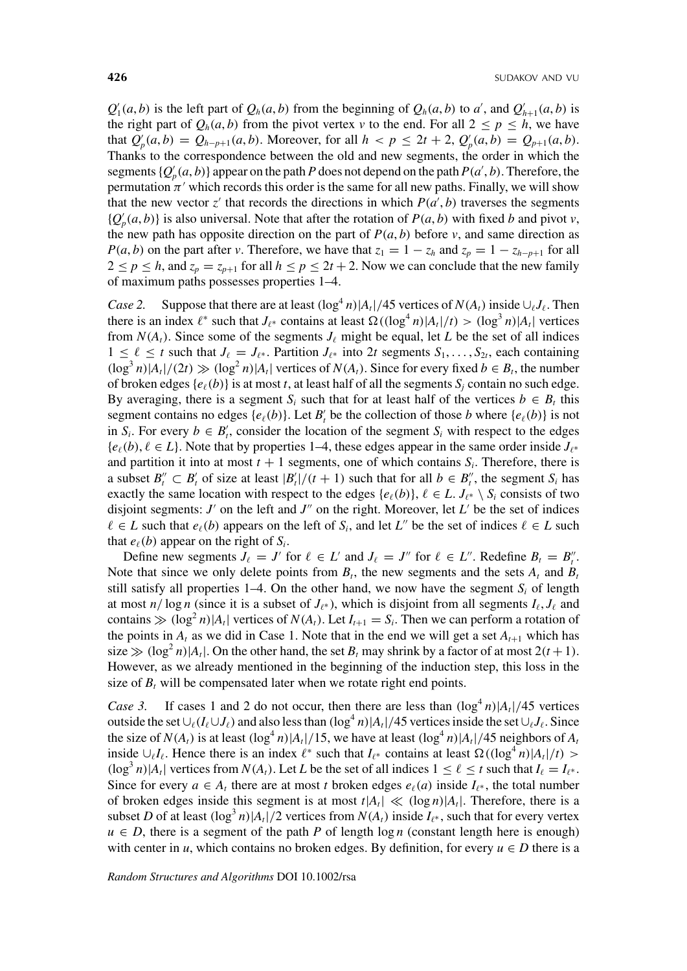$Q'_1(a, b)$  is the left part of  $Q_h(a, b)$  from the beginning of  $Q_h(a, b)$  to *a*<sup>'</sup>, and  $Q'_{h+1}(a, b)$  is the right part of  $Q_h(a, b)$  from the pivot vertex v to the end. For all  $2 \le p \le h$ , we have that  $Q'_p(a, b) = Q_{h-p+1}(a, b)$ . Moreover, for all  $h < p \le 2t + 2$ ,  $Q'_p(a, b) = Q_{p+1}(a, b)$ . Thanks to the correspondence between the old and new segments, the order in which the segments  $\{Q'_p(a, b)\}$  appear on the path *P* does not depend on the path  $P(a', b)$ . Therefore, the permutation  $\pi'$  which records this order is the same for all new paths. Finally, we will show that the new vector  $z'$  that records the directions in which  $P(a', b)$  traverses the segments  $\{Q'_p(a, b)\}\$ is also universal. Note that after the rotation of  $P(a, b)$  with fixed *b* and pivot *v*, the new path has opposite direction on the part of  $P(a, b)$  before *v*, and same direction as *P*(*a*, *b*) on the part after *v*. Therefore, we have that  $z_1 = 1 - z_h$  and  $z_p = 1 - z_{h-p+1}$  for all  $2 \le p \le h$ , and  $z_p = z_{p+1}$  for all  $h \le p \le 2t + 2$ . Now we can conclude that the new family of maximum paths possesses properties 1–4.

*Case 2.* Suppose that there are at least  $(\log^4 n)|A_t|/45$  vertices of  $N(A_t)$  inside  $\cup_{\ell} J_{\ell}$ . Then there is an index  $\ell^*$  such that  $J_{\ell^*}$  contains at least  $\Omega((\log^4 n)|A_t|/t) > (\log^3 n)|A_t|$  vertices from  $N(A_t)$ . Since some of the segments  $J_\ell$  might be equal, let *L* be the set of all indices  $1 ≤ l ≤ t$  such that  $J_{l} = J_{l^*}$ . Partition  $J_{l^*}$  into 2t segments  $S_1, \ldots, S_{2t}$ , each containing  $(\log^3 n)|A_t|/(2t) \gg (\log^2 n)|A_t|$  vertices of  $N(A_t)$ . Since for every fixed  $b \in B_t$ , the number of broken edges  $\{e_{\ell}(b)\}$  is at most *t*, at least half of all the segments  $S_i$  contain no such edge. By averaging, there is a segment  $S_i$  such that for at least half of the vertices  $b \in B_t$  this segment contains no edges  $\{e_{\ell}(b)\}\$ . Let *B*<sup> $\ell$ </sup> be the collection of those *b* where  $\{e_{\ell}(b)\}\$ is not in *S<sub>i</sub>*. For every  $b \in B'_t$ , consider the location of the segment *S<sub>i</sub>* with respect to the edges  ${e_{\ell}(b), \ell \in L}$ . Note that by properties 1–4, these edges appear in the same order inside  $J_{\ell^*}$ and partition it into at most  $t + 1$  segments, one of which contains  $S_i$ . Therefore, there is a subset *B*<sup>*t*</sup> ⊂ *B*<sup>*t*</sup> of size at least  $|B_t|/(t+1)$  such that for all *b* ∈ *B*<sup>*t*</sup>, the segment *S<sub>i</sub>* has exactly the same location with respect to the edges  $\{e_{\ell}(b)\}, \ell \in L$ .  $J_{\ell^*} \setminus S_i$  consists of two disjoint segments:  $J'$  on the left and  $J''$  on the right. Moreover, let  $L'$  be the set of indices  $\ell \in L$  such that  $e_{\ell}(b)$  appears on the left of  $S_i$ , and let  $L''$  be the set of indices  $\ell \in L$  such that  $e_{\ell}(b)$  appear on the right of  $S_i$ .

Define new segments  $J_{\ell} = J'$  for  $\ell \in L'$  and  $J_{\ell} = J''$  for  $\ell \in L''$ . Redefine  $B_t = B''_t$ . Note that since we only delete points from  $B_t$ , the new segments and the sets  $A_t$  and  $B_t$ still satisfy all properties 1–4. On the other hand, we now have the segment  $S_i$  of length at most  $n/\log n$  (since it is a subset of  $J_{\ell^*}$ ), which is disjoint from all segments  $I_{\ell}, J_{\ell}$  and contains  $\gg (\log^2 n)|A_t|$  vertices of  $N(A_t)$ . Let  $I_{t+1} = S_t$ . Then we can perform a rotation of the points in  $A_t$  as we did in Case 1. Note that in the end we will get a set  $A_{t+1}$  which has size  $\gg (\log^2 n)|A_t|$ . On the other hand, the set  $B_t$  may shrink by a factor of at most  $2(t+1)$ . However, as we already mentioned in the beginning of the induction step, this loss in the size of  $B_t$  will be compensated later when we rotate right end points.

*Case 3.* If cases 1 and 2 do not occur, then there are less than  $(\log^4 n)|A_t|/45$  vertices outside the set  $\cup_{\ell}(I_{\ell}\cup J_{\ell})$  and also less than  $(\log^4 n)|A_t|/45$  vertices inside the set  $\cup_{\ell} J_{\ell}$ . Since the size of  $N(A_t)$  is at least  $(\log^4 n)|A_t|/15$ , we have at least  $(\log^4 n)|A_t|/45$  neighbors of  $A_t$ inside ∪<sub>*l*</sub> $I$ <sub>*l*</sub>. Hence there is an index  $\ell^*$  such that  $I_{\ell^*}$  contains at least Ω((log<sup>4</sup> *n*)| $A_t$ |/*t*) >  $(\log^3 n)|A_t|$  vertices from  $N(A_t)$ . Let *L* be the set of all indices  $1 \leq \ell \leq t$  such that  $I_\ell = I_{\ell^*}$ . Since for every  $a \in A_t$  there are at most *t* broken edges  $e_\ell(a)$  inside  $I_{\ell^*}$ , the total number of broken edges inside this segment is at most  $t | A_t | \ll (\log n) |A_t|$ . Therefore, there is a subset *D* of at least  $(\log^3 n)|A_t|/2$  vertices from  $N(A_t)$  inside  $I_{\ell^*}$ , such that for every vertex  $u \in D$ , there is a segment of the path *P* of length  $\log n$  (constant length here is enough) with center in *u*, which contains no broken edges. By definition, for every  $u \in D$  there is a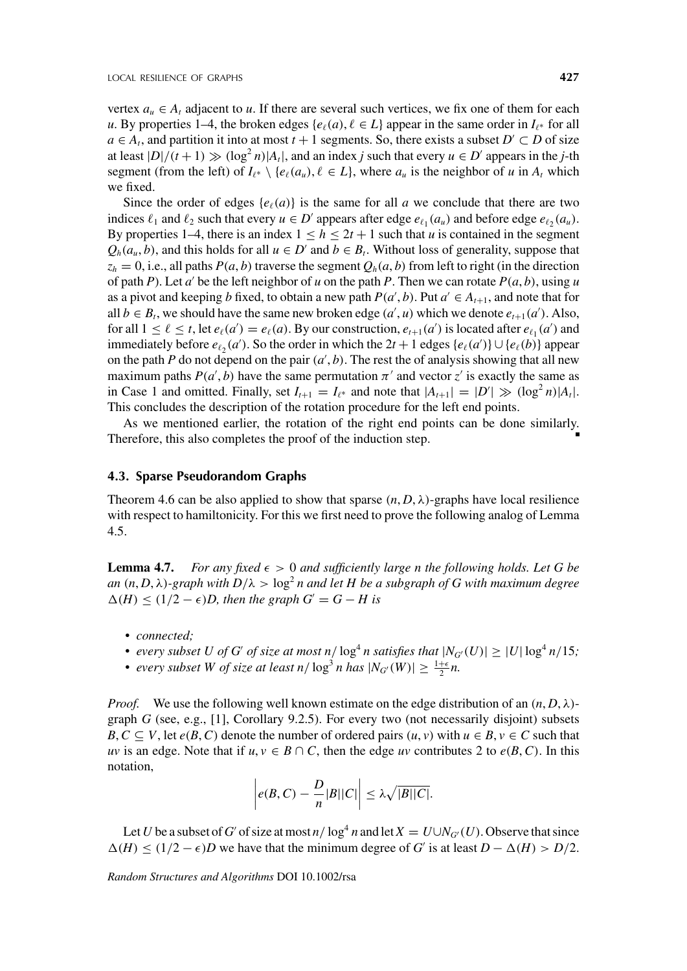vertex  $a_u \in A_t$  adjacent to *u*. If there are several such vertices, we fix one of them for each *u*. By properties 1–4, the broken edges { $e_{\ell}(a), \ell \in L$ } appear in the same order in  $I_{\ell^*}$  for all *a* ∈ *A<sub>t</sub>*, and partition it into at most *t* + 1 segments. So, there exists a subset *D'* ⊂ *D* of size at least  $|D|/(t+1) \gg (\log^2 n)|A_t|$ , and an index *j* such that every  $u \in D'$  appears in the *j*-th segment (from the left) of  $I_{\ell^*} \setminus \{e_{\ell}(a_u), \ell \in L\}$ , where  $a_u$  is the neighbor of *u* in  $A_t$  which we fixed.

Since the order of edges  $\{e_{\ell}(a)\}$  is the same for all *a* we conclude that there are two indices  $\ell_1$  and  $\ell_2$  such that every  $u \in D'$  appears after edge  $e_{\ell_1}(a_u)$  and before edge  $e_{\ell_2}(a_u)$ . By properties 1–4, there is an index  $1 \le h \le 2t + 1$  such that *u* is contained in the segment  $Q_h(a_u, b)$ , and this holds for all  $u \in D'$  and  $b \in B_t$ . Without loss of generality, suppose that  $z_h = 0$ , i.e., all paths  $P(a, b)$  traverse the segment  $Q_h(a, b)$  from left to right (in the direction of path *P*). Let *a'* be the left neighbor of *u* on the path *P*. Then we can rotate  $P(a, b)$ , using *u* as a pivot and keeping *b* fixed, to obtain a new path  $P(a', b)$ . Put  $a' \in A_{t+1}$ , and note that for all *b* ∈ *B*<sub>*t*</sub>, we should have the same new broken edge  $(a', u)$  which we denote  $e_{t+1}(a')$ . Also, for all  $1 \leq \ell \leq t$ , let  $e_{\ell}(a') = e_{\ell}(a)$ . By our construction,  $e_{t+1}(a')$  is located after  $e_{\ell_1}(a')$  and immediately before  $e_{\ell_2}(a')$ . So the order in which the 2*t* + 1 edges { $e_{\ell}(a')$ } ∪ { $e_{\ell}(b)$ } appear on the path *P* do not depend on the pair  $(a', b)$ . The rest the of analysis showing that all new maximum paths  $P(a', b)$  have the same permutation  $\pi'$  and vector  $z'$  is exactly the same as in Case 1 and omitted. Finally, set  $I_{t+1} = I_{\ell^*}$  and note that  $|A_{t+1}| = |D'| \gg (\log^2 n)|A_t|$ . This concludes the description of the rotation procedure for the left end points.

As we mentioned earlier, the rotation of the right end points can be done similarly. Therefore, this also completes the proof of the induction step.

#### **4.3. Sparse Pseudorandom Graphs**

Theorem 4.6 can be also applied to show that sparse  $(n, D, \lambda)$ -graphs have local resilience with respect to hamiltonicity. For this we first need to prove the following analog of Lemma 4.5.

**Lemma 4.7.** *For any fixed*  $\epsilon > 0$  *and sufficiently large n the following holds. Let G be an*  $(n, D, \lambda)$ -graph with  $D/\lambda > \log^2 n$  and let H be a subgraph of G with maximum degree  $\Delta(H)$  ≤ (1/2 −  $\epsilon$ )*D*, then the graph  $G' = G - H$  is

- *connected;*
- every subset U of G' of size at most  $n/\log^4 n$  satisfies that  $|N_{G'}(U)| \geq |U| \log^4 n/15$ ;
- every subset *W* of size at least  $n/\log^3 n$  has  $|N_{G'}(W)| \geq \frac{1+\epsilon}{2}n$ .

*Proof.* We use the following well known estimate on the edge distribution of an  $(n, D, \lambda)$ graph  $G$  (see, e.g., [1], Corollary 9.2.5). For every two (not necessarily disjoint) subsets *B*, *C*  $\subseteq$  *V*, let *e*(*B*, *C*) denote the number of ordered pairs (*u*, *v*) with  $u \in B$ ,  $v \in C$  such that *uv* is an edge. Note that if  $u, v \in B \cap C$ , then the edge *uv* contributes 2 to *e*(*B*, *C*). In this notation,

$$
\left| e(B, C) - \frac{D}{n} |B||C| \right| \leq \lambda \sqrt{|B||C|}.
$$

Let *U* be a subset of *G*' of size at most  $n/\log^4 n$  and let  $X = U \cup N_{G'}(U)$ . Observe that since  $\Delta(H) \leq (1/2 - \epsilon)D$  we have that the minimum degree of *G'* is at least  $D - \Delta(H) > D/2$ .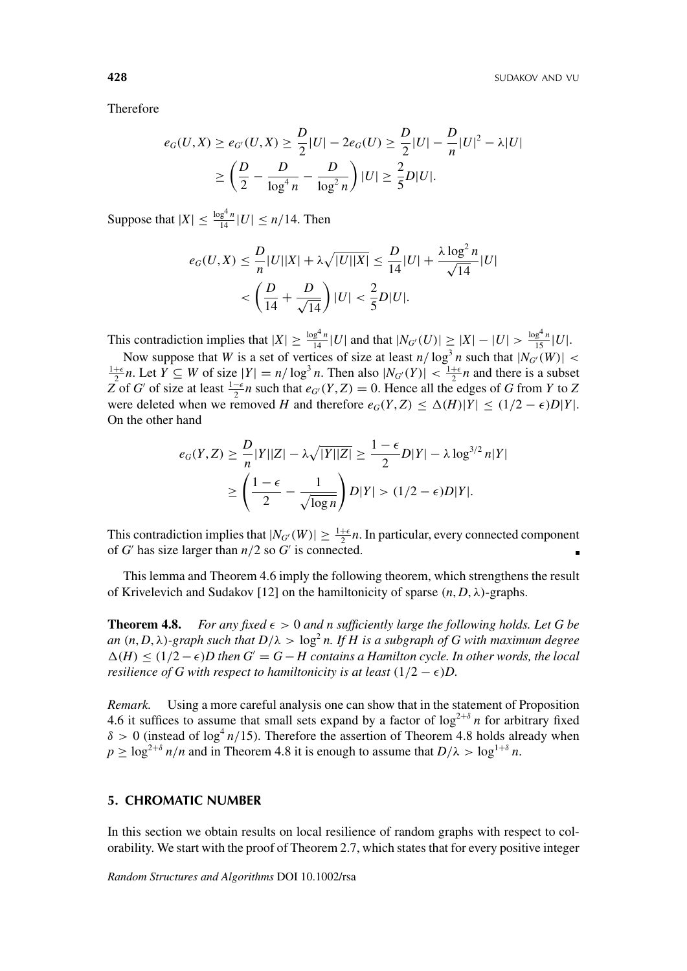Therefore

$$
e_G(U, X) \ge e_{G'}(U, X) \ge \frac{D}{2}|U| - 2e_G(U) \ge \frac{D}{2}|U| - \frac{D}{n}|U|^2 - \lambda|U|
$$
  

$$
\ge \left(\frac{D}{2} - \frac{D}{\log^4 n} - \frac{D}{\log^2 n}\right)|U| \ge \frac{2}{5}D|U|.
$$

Suppose that  $|X| \leq \frac{\log^4 n}{14} |U| \leq n/14$ . Then

$$
e_G(U, X) \le \frac{D}{n}|U||X| + \lambda \sqrt{|U||X|} \le \frac{D}{14}|U| + \frac{\lambda \log^2 n}{\sqrt{14}}|U|
$$
  

$$
< \left(\frac{D}{14} + \frac{D}{\sqrt{14}}\right)|U| < \frac{2}{5}D|U|.
$$

This contradiction implies that  $|X| \ge \frac{\log^4 n}{14} |U|$  and that  $|N_{G'}(U)| \ge |X| - |U| > \frac{\log^4 n}{15} |U|$ .

Now suppose that W is a set of vertices of size at least  $n/\log^3 n$  such that  $|N_{G'}(W)| < \frac{1+\epsilon}{2}n$ . Let  $Y \subseteq W$  of size  $|Y| = n/\log^3 n$ . Then also  $|N_{G'}(Y)| < \frac{1+\epsilon}{2}n$  and there is a subset *Z* of *G*<sup> $\prime$ </sup> of size at least  $\frac{1-\epsilon}{2}n$  such that  $e_G(Y, Z) = 0$ . Hence all the edges of *G* from *Y* to *Z* were deleted when we removed *H* and therefore  $e_G(Y, Z) \le \Delta(H)|Y| \le (1/2 - \epsilon)D|Y|$ . On the other hand

$$
e_G(Y, Z) \ge \frac{D}{n}|Y||Z| - \lambda \sqrt{|Y||Z|} \ge \frac{1 - \epsilon}{2}D|Y| - \lambda \log^{3/2} n|Y|
$$

$$
\ge \left(\frac{1 - \epsilon}{2} - \frac{1}{\sqrt{\log n}}\right)D|Y| > (1/2 - \epsilon)D|Y|.
$$

This contradiction implies that  $|N_{G'}(W)| \ge \frac{1+\epsilon}{2}n$ . In particular, every connected component of  $G'$  has size larger than  $n/2$  so  $G'$  is connected.

This lemma and Theorem 4.6 imply the following theorem, which strengthens the result of Krivelevich and Sudakov [12] on the hamiltonicity of sparse  $(n, D, \lambda)$ -graphs.

**Theorem 4.8.** For any fixed  $\epsilon > 0$  and n sufficiently large the following holds. Let G be *an*  $(n, D, \lambda)$ -graph such that  $D/\lambda > \log^2 n$ . If H is a subgraph of G with maximum degree  $\Delta(H) \leq (1/2 - \epsilon)D$  then  $G' = G - H$  contains a Hamilton cycle. In other words, the local *resilience of G with respect to hamiltonicity is at least*  $(1/2 - \epsilon)D$ .

*Remark.* Using a more careful analysis one can show that in the statement of Proposition 4.6 it suffices to assume that small sets expand by a factor of  $\log^{2+\delta} n$  for arbitrary fixed  $\delta > 0$  (instead of log<sup>4</sup> *n*/15). Therefore the assertion of Theorem 4.8 holds already when  $p \geq \log^{2+\delta} n/n$  and in Theorem 4.8 it is enough to assume that  $D/\lambda > \log^{1+\delta} n$ .

#### **5. CHROMATIC NUMBER**

In this section we obtain results on local resilience of random graphs with respect to colorability. We start with the proof of Theorem 2.7, which states that for every positive integer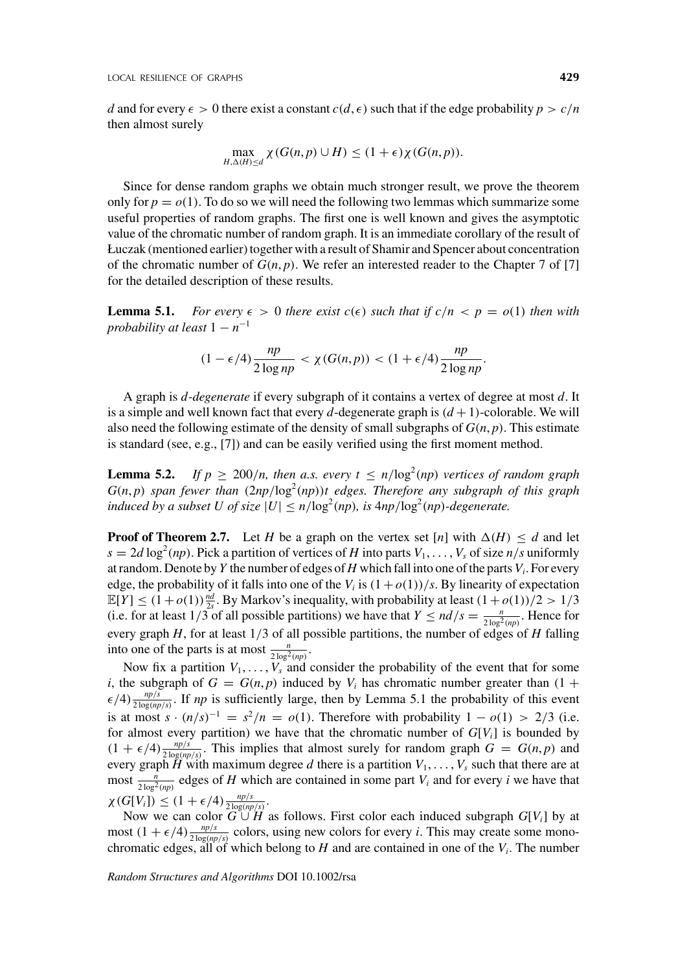*d* and for every  $\epsilon > 0$  there exist a constant  $c(d, \epsilon)$  such that if the edge probability  $p > c/n$ then almost surely

$$
\max_{H,\Delta(H)\leq d} \chi(G(n,p)\cup H) \leq (1+\epsilon)\chi(G(n,p)).
$$

Since for dense random graphs we obtain much stronger result, we prove the theorem only for  $p = o(1)$ . To do so we will need the following two lemmas which summarize some useful properties of random graphs. The first one is well known and gives the asymptotic value of the chromatic number of random graph. It is an immediate corollary of the result of Łuczak (mentioned earlier) together with a result of Shamir and Spencer about concentration of the chromatic number of  $G(n, p)$ . We refer an interested reader to the Chapter 7 of [7] for the detailed description of these results.

**Lemma 5.1.** *For every*  $\epsilon > 0$  *there exist*  $c(\epsilon)$  *such that if*  $c/n < p = o(1)$  *then with probability at least*  $1 - n^{-1}$ 

$$
(1 - \epsilon/4) \frac{np}{2 \log np} < \chi(G(n, p)) < (1 + \epsilon/4) \frac{np}{2 \log np}.
$$

A graph is *d-degenerate* if every subgraph of it contains a vertex of degree at most *d*. It is a simple and well known fact that every *d*-degenerate graph is  $(d+1)$ -colorable. We will also need the following estimate of the density of small subgraphs of  $G(n, p)$ . This estimate is standard (see, e.g., [7]) and can be easily verified using the first moment method.

**Lemma 5.2.** *If*  $p \ge 200/n$ , then a.s. every  $t \le n/\log^2(np)$  vertices of random graph  $G(n, p)$  span fewer than  $(2np/log^2(np))$ t edges. Therefore any subgraph of this graph *induced by a subset U of size*  $|U| \le n/\log^2(np)$ , *is*  $4np/\log^2(np)$ *-degenerate.* 

**Proof of Theorem 2.7.** Let *H* be a graph on the vertex set [*n*] with  $\Delta(H) \leq d$  and let  $s = 2d \log^2(np)$ . Pick a partition of vertices of *H* into parts  $V_1, \ldots, V_s$  of size *n*/*s* uniformly at random. Denote by *Y* the number of edges of *H* which fall into one of the parts*Vi*. For every edge, the probability of it falls into one of the  $V_i$  is  $(1+o(1))/s$ . By linearity of expectation  $\mathbb{E}[Y] \leq (1+o(1))\frac{nd}{2s}$ . By Markov's inequality, with probability at least  $(1+o(1))/2 > 1/3$ (i.e. for at least  $1/3$  of all possible partitions) we have that  $Y \le nd/s = \frac{n}{2 \log^2(np)}$ . Hence for every graph *H*, for at least 1/3 of all possible partitions, the number of edges of *H* falling into one of the parts is at most  $\frac{n}{2 \log^2(np)}$ .

Now fix a partition  $V_1, \ldots, V_s$  and consider the probability of the event that for some *i*, the subgraph of  $G = G(n, p)$  induced by  $V_i$  has chromatic number greater than  $(1 +$  $\epsilon/4$ )  $\frac{np}{2 \log(np/s)}$ . If *np* is sufficiently large, then by Lemma 5.1 the probability of this event is at most  $s \cdot (n/s)^{-1} = s^2/n = o(1)$ . Therefore with probability  $1 - o(1) > 2/3$  (i.e. for almost every partition) we have that the chromatic number of  $G[V_i]$  is bounded by  $(1 + \epsilon/4) \frac{np/s}{2 \log(np/s)}$ . This implies that almost surely for random graph  $G = G(n, p)$  and every graph  $\hat{H}$  with maximum degree  $d$  there is a partition  $V_1, \ldots, V_s$  such that there are at most  $\frac{n}{2 \log^2(np)}$  edges of *H* which are contained in some part *V<sub>i</sub>* and for every *i* we have that  $\chi(G[V_i]) \leq (1 + \epsilon/4) \frac{np/s}{2 \log(np/s)}.$ 

Now we can color  $\widetilde{G} \cup \widetilde{H}$  as follows. First color each induced subgraph  $G[V_i]$  by at most  $(1 + \epsilon/4) \frac{np/s}{2 \log(np/s)}$  colors, using new colors for every *i*. This may create some monochromatic edges, all of which belong to  $H$  and are contained in one of the  $V_i$ . The number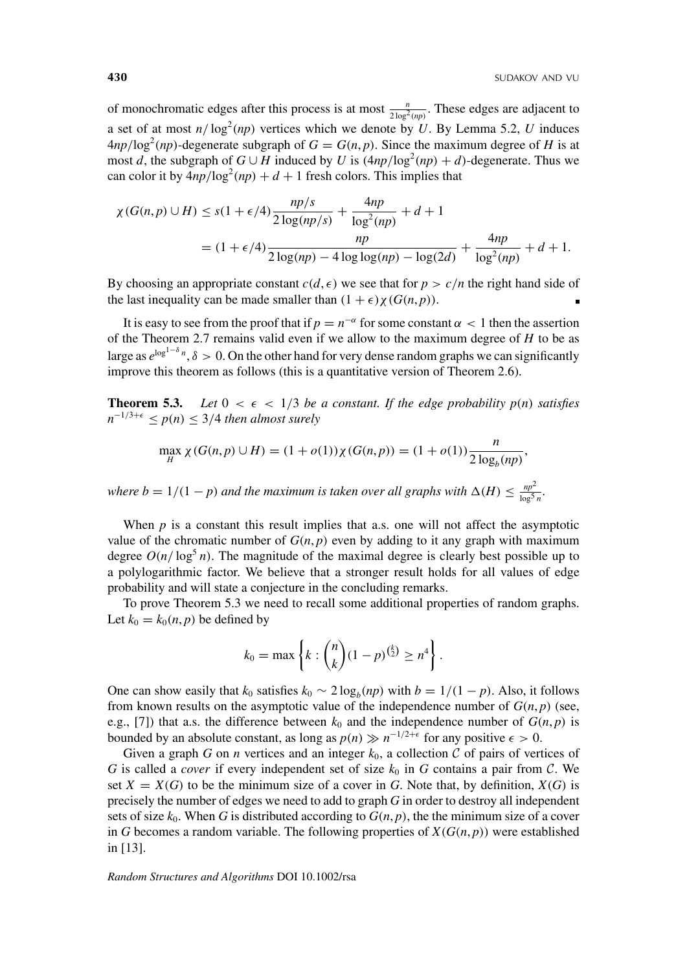of monochromatic edges after this process is at most  $\frac{n}{2 \log^2(np)}$ . These edges are adjacent to a set of at most  $n/\log^2(np)$  vertices which we denote by *U*. By Lemma 5.2, *U* induces  $4np/\log^2(np)$ -degenerate subgraph of  $G = G(n, p)$ . Since the maximum degree of *H* is at most *d*, the subgraph of  $G \cup H$  induced by *U* is  $(4np/log^2(np) + d)$ -degenerate. Thus we can color it by  $4np/log^2(np) + d + 1$  fresh colors. This implies that

$$
\chi(G(n, p) \cup H) \le s(1 + \epsilon/4) \frac{np/s}{2 \log(np/s)} + \frac{4np}{\log^2(np)} + d + 1
$$
  
=  $(1 + \epsilon/4) \frac{np}{2 \log(np) - 4 \log \log(np) - \log(2d)} + \frac{4np}{\log^2(np)} + d + 1.$ 

By choosing an appropriate constant  $c(d, \epsilon)$  we see that for  $p > c/n$  the right hand side of the last inequality can be made smaller than  $(1 + \epsilon) \chi(G(n, p))$ .

It is easy to see from the proof that if  $p = n^{-\alpha}$  for some constant  $\alpha < 1$  then the assertion of the Theorem 2.7 remains valid even if we allow to the maximum degree of *H* to be as large as  $e^{\log^{1-\delta} n}$ , δ > 0. On the other hand for very dense random graphs we can significantly improve this theorem as follows (this is a quantitative version of Theorem 2.6).

**Theorem 5.3.** Let  $0 < \epsilon < 1/3$  be a constant. If the edge probability  $p(n)$  satisfies  $n^{-1/3+\epsilon} \leq p(n) \leq 3/4$  *then almost surely* 

$$
\max_{H} \chi(G(n, p) \cup H) = (1 + o(1))\chi(G(n, p)) = (1 + o(1))\frac{n}{2\log_b(np)},
$$

*where b* =  $1/(1-p)$  *and the maximum is taken over all graphs with*  $\Delta(H) \le \frac{np^2}{\log^5 n}$ .

When  $p$  is a constant this result implies that a.s. one will not affect the asymptotic value of the chromatic number of  $G(n, p)$  even by adding to it any graph with maximum degree  $O(n/\log^5 n)$ . The magnitude of the maximal degree is clearly best possible up to a polylogarithmic factor. We believe that a stronger result holds for all values of edge probability and will state a conjecture in the concluding remarks.

To prove Theorem 5.3 we need to recall some additional properties of random graphs. Let  $k_0 = k_0(n, p)$  be defined by

$$
k_0 = \max \left\{ k : \binom{n}{k} (1-p)^{\binom{k}{2}} \ge n^4 \right\}.
$$

One can show easily that  $k_0$  satisfies  $k_0 \sim 2 \log_b(np)$  with  $b = 1/(1 - p)$ . Also, it follows from known results on the asymptotic value of the independence number of  $G(n, p)$  (see, e.g., [7]) that a.s. the difference between  $k_0$  and the independence number of  $G(n, p)$  is bounded by an absolute constant, as long as  $p(n) \gg n^{-1/2+\epsilon}$  for any positive  $\epsilon > 0$ .

Given a graph *G* on *n* vertices and an integer  $k_0$ , a collection *C* of pairs of vertices of *G* is called a *cover* if every independent set of size  $k_0$  in *G* contains a pair from *C*. We set  $X = X(G)$  to be the minimum size of a cover in G. Note that, by definition,  $X(G)$  is precisely the number of edges we need to add to graph *G* in order to destroy all independent sets of size  $k_0$ . When *G* is distributed according to  $G(n, p)$ , the the minimum size of a cover in *G* becomes a random variable. The following properties of  $X(G(n, p))$  were established in [13].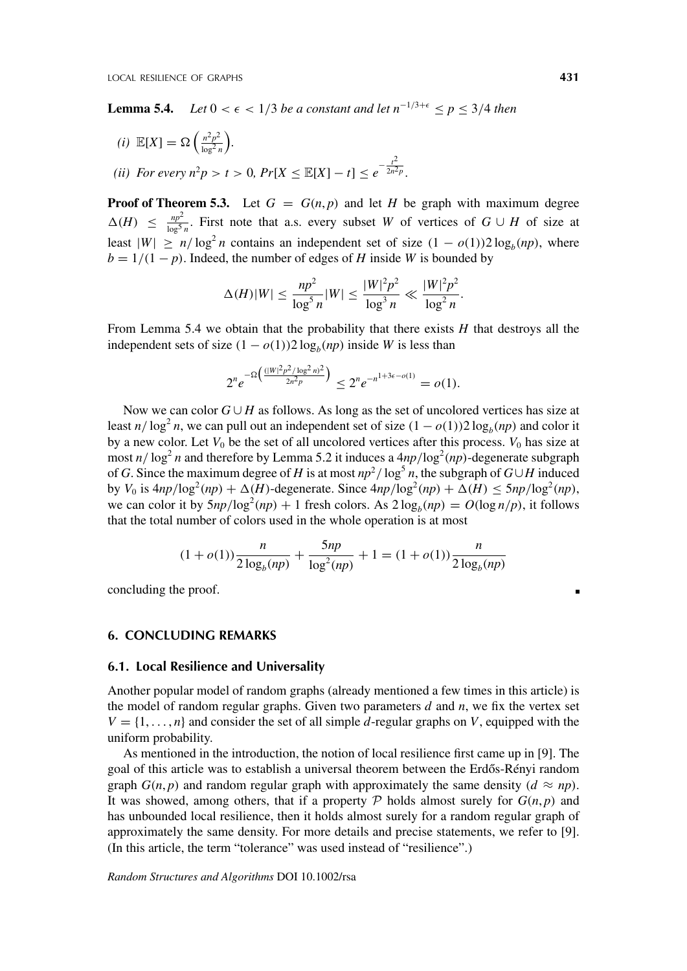**Lemma 5.4.** *Let* 0 <  $\epsilon$  < 1/3 *be a constant and let*  $n^{-1/3+\epsilon}$  ≤  $p$  ≤ 3/4 *then* 

 $(i)$   $\mathbb{E}[X] = \Omega\left(\frac{n^2p^2}{\log^2 n}\right)$ . *(ii) For every*  $n^2p > t > 0$ ,  $Pr[X \leq \mathbb{E}[X] - t] \leq e^{-\frac{t^2}{2n^2p}}$ .

**Proof of Theorem 5.3.** Let  $G = G(n, p)$  and let *H* be graph with maximum degree  $\Delta(H) \leq \frac{np^2}{\log^5 n}$ . First note that a.s. every subset *W* of vertices of *G* ∪ *H* of size at least  $|W| \ge n/\log^2 n$  contains an independent set of size  $(1 - o(1))2 \log_b(np)$ , where  $b = 1/(1 - p)$ . Indeed, the number of edges of *H* inside *W* is bounded by

$$
\Delta(H)|W| \le \frac{np^2}{\log^5 n}|W| \le \frac{|W|^2 p^2}{\log^3 n} \ll \frac{|W|^2 p^2}{\log^2 n}.
$$

From Lemma 5.4 we obtain that the probability that there exists *H* that destroys all the independent sets of size  $(1 - o(1))2 \log_b(np)$  inside *W* is less than

$$
2^n e^{-\Omega\left(\frac{(|W|^2 p^2/\log^2 n)^2}{2n^2 p}\right)} \leq 2^n e^{-n^{1+3\epsilon-o(1)}} = o(1).
$$

Now we can color *G* ∪ *H* as follows. As long as the set of uncolored vertices has size at least *n*/ log<sup>2</sup> *n*, we can pull out an independent set of size  $(1 - o(1))2 \log_b(np)$  and color it by a new color. Let  $V_0$  be the set of all uncolored vertices after this process.  $V_0$  has size at most *n*/log<sup>2</sup> *n* and therefore by Lemma 5.2 it induces a  $4np/log^2(np)$ -degenerate subgraph of *G*. Since the maximum degree of *H* is at most  $np^2/\log^5 n$ , the subgraph of  $G \cup H$  induced by  $V_0$  is  $4np/log^2(np) + \Delta(H)$ -degenerate. Since  $4np/log^2(np) + \Delta(H) \leq 5np/log^2(np)$ , we can color it by  $5np/log^2(np) + 1$  fresh colors. As  $2 log_b(np) = O(log n/p)$ , it follows that the total number of colors used in the whole operation is at most

$$
(1 + o(1))\frac{n}{2\log_b(np)} + \frac{5np}{\log^2(np)} + 1 = (1 + o(1))\frac{n}{2\log_b(np)}
$$

concluding the proof.

# **6. CONCLUDING REMARKS**

#### **6.1. Local Resilience and Universality**

Another popular model of random graphs (already mentioned a few times in this article) is the model of random regular graphs. Given two parameters *d* and *n*, we fix the vertex set  $V = \{1, \ldots, n\}$  and consider the set of all simple *d*-regular graphs on *V*, equipped with the uniform probability.

As mentioned in the introduction, the notion of local resilience first came up in [9]. The goal of this article was to establish a universal theorem between the Erdős-Rényi random graph  $G(n, p)$  and random regular graph with approximately the same density  $(d \approx np)$ . It was showed, among others, that if a property  $P$  holds almost surely for  $G(n, p)$  and has unbounded local resilience, then it holds almost surely for a random regular graph of approximately the same density. For more details and precise statements, we refer to [9]. (In this article, the term "tolerance" was used instead of "resilience".)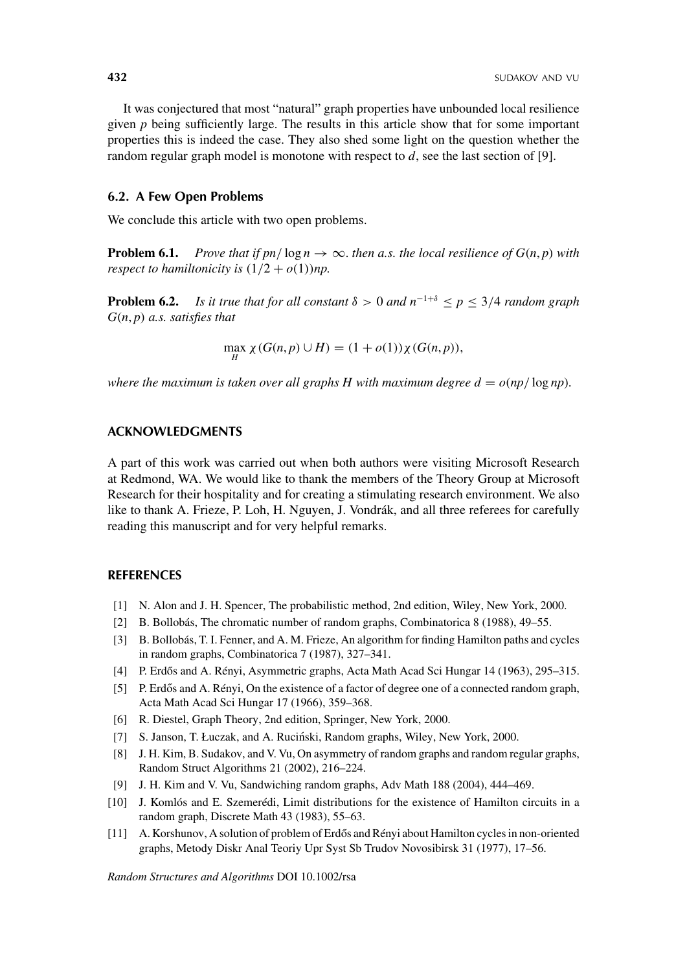It was conjectured that most "natural" graph properties have unbounded local resilience given *p* being sufficiently large. The results in this article show that for some important properties this is indeed the case. They also shed some light on the question whether the random regular graph model is monotone with respect to *d*, see the last section of [9].

#### **6.2. A Few Open Problems**

We conclude this article with two open problems.

**Problem 6.1.** *Prove that if pn*  $\log n \to \infty$ *. then a.s. the local resilience of*  $G(n, p)$  *with respect to hamiltonicity is*  $(1/2 + o(1))$ *np.* 

**Problem 6.2.** *Is it true that for all constant*  $\delta > 0$  *and*  $n^{-1+\delta} < p < 3/4$  *random graph G*(*n*, *p*) *a.s. satisfies that*

 $\max_{H} \chi(G(n, p) \cup H) = (1 + o(1))\chi(G(n, p)),$ 

*where the maximum is taken over all graphs H with maximum degree*  $d = o(np/\log np)$ *.* 

## **ACKNOWLEDGMENTS**

A part of this work was carried out when both authors were visiting Microsoft Research at Redmond, WA. We would like to thank the members of the Theory Group at Microsoft Research for their hospitality and for creating a stimulating research environment. We also like to thank A. Frieze, P. Loh, H. Nguyen, J. Vondrák, and all three referees for carefully reading this manuscript and for very helpful remarks.

# **REFERENCES**

- [1] N. Alon and J. H. Spencer, The probabilistic method, 2nd edition, Wiley, New York, 2000.
- [2] B. Bollobás, The chromatic number of random graphs, Combinatorica 8 (1988), 49–55.
- [3] B. Bollobás, T. I. Fenner, and A. M. Frieze, An algorithm for finding Hamilton paths and cycles in random graphs, Combinatorica 7 (1987), 327–341.
- [4] P. Erdős and A. Rényi, Asymmetric graphs, Acta Math Acad Sci Hungar 14 (1963), 295–315.
- [5] P. Erdős and A. Rényi, On the existence of a factor of degree one of a connected random graph, Acta Math Acad Sci Hungar 17 (1966), 359–368.
- [6] R. Diestel, Graph Theory, 2nd edition, Springer, New York, 2000.
- [7] S. Janson, T. Łuczak, and A. Ruciński, Random graphs, Wiley, New York, 2000.
- [8] J. H. Kim, B. Sudakov, and V. Vu, On asymmetry of random graphs and random regular graphs, Random Struct Algorithms 21 (2002), 216–224.
- [9] J. H. Kim and V. Vu, Sandwiching random graphs, Adv Math 188 (2004), 444–469.
- [10] J. Komlós and E. Szemerédi, Limit distributions for the existence of Hamilton circuits in a random graph, Discrete Math 43 (1983), 55–63.
- [11] A. Korshunov, A solution of problem of Erdős and Rényi about Hamilton cycles in non-oriented graphs, Metody Diskr Anal Teoriy Upr Syst Sb Trudov Novosibirsk 31 (1977), 17–56.